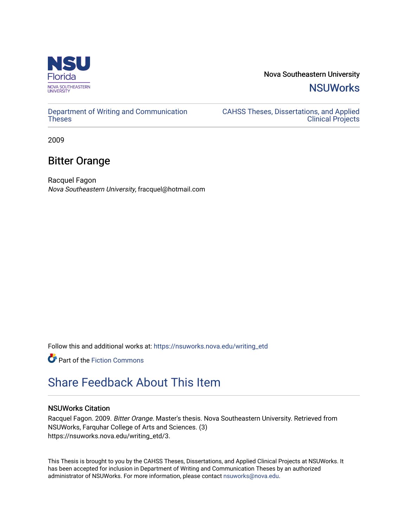

Nova Southeastern University **NSUWorks** 

[Department of Writing and Communication](https://nsuworks.nova.edu/writing_etd)  **Theses** 

[CAHSS Theses, Dissertations, and Applied](https://nsuworks.nova.edu/cahss_etd)  [Clinical Projects](https://nsuworks.nova.edu/cahss_etd) 

2009

# Bitter Orange

Racquel Fagon Nova Southeastern University, fracquel@hotmail.com

Follow this and additional works at: [https://nsuworks.nova.edu/writing\\_etd](https://nsuworks.nova.edu/writing_etd?utm_source=nsuworks.nova.edu%2Fwriting_etd%2F3&utm_medium=PDF&utm_campaign=PDFCoverPages)

**P** Part of the Fiction Commons

# [Share Feedback About This Item](http://nsuworks.nova.edu/user_survey.html)

# NSUWorks Citation

Racquel Fagon. 2009. Bitter Orange. Master's thesis. Nova Southeastern University. Retrieved from NSUWorks, Farquhar College of Arts and Sciences. (3) https://nsuworks.nova.edu/writing\_etd/3.

This Thesis is brought to you by the CAHSS Theses, Dissertations, and Applied Clinical Projects at NSUWorks. It has been accepted for inclusion in Department of Writing and Communication Theses by an authorized administrator of NSUWorks. For more information, please contact [nsuworks@nova.edu.](mailto:nsuworks@nova.edu)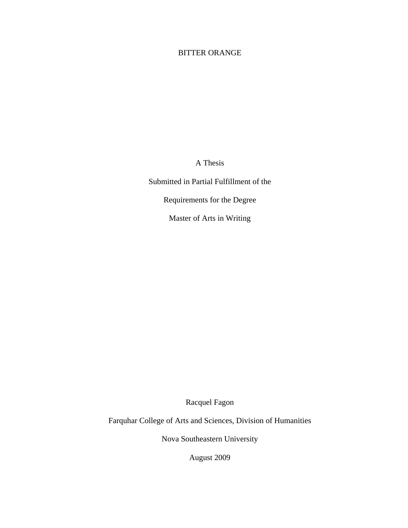# BITTER ORANGE

A Thesis

Submitted in Partial Fulfillment of the

Requirements for the Degree

Master of Arts in Writing

Racquel Fagon

Farquhar College of Arts and Sciences, Division of Humanities

Nova Southeastern University

August 2009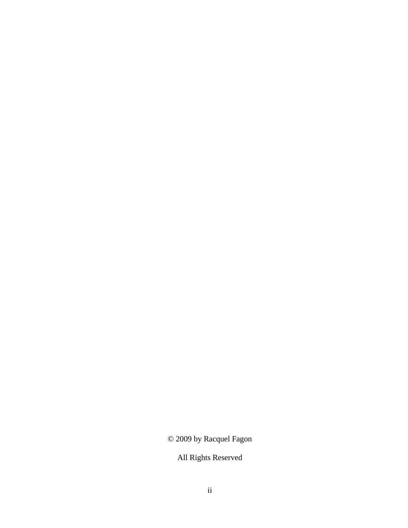© 2009 by Racquel Fagon

All Rights Reserved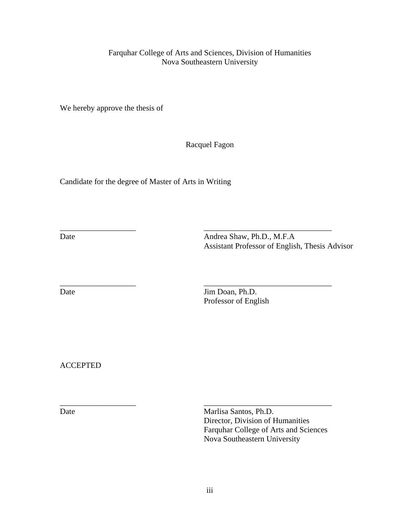Farquhar College of Arts and Sciences, Division of Humanities Nova Southeastern University

We hereby approve the thesis of

Racquel Fagon

\_\_\_\_\_\_\_\_\_\_\_\_\_\_\_\_\_\_\_ \_\_\_\_\_\_\_\_\_\_\_\_\_\_\_\_\_\_\_\_\_\_\_\_\_\_\_\_\_\_\_\_

\_\_\_\_\_\_\_\_\_\_\_\_\_\_\_\_\_\_\_ \_\_\_\_\_\_\_\_\_\_\_\_\_\_\_\_\_\_\_\_\_\_\_\_\_\_\_\_\_\_\_\_

\_\_\_\_\_\_\_\_\_\_\_\_\_\_\_\_\_\_\_ \_\_\_\_\_\_\_\_\_\_\_\_\_\_\_\_\_\_\_\_\_\_\_\_\_\_\_\_\_\_\_\_

Candidate for the degree of Master of Arts in Writing

Date **Andrea Shaw**, Ph.D., M.F.A Assistant Professor of English, Thesis Advisor

Date Jim Doan, Ph.D. Professor of English

ACCEPTED

Date Marlisa Santos, Ph.D. Director, Division of Humanities Farquhar College of Arts and Sciences Nova Southeastern University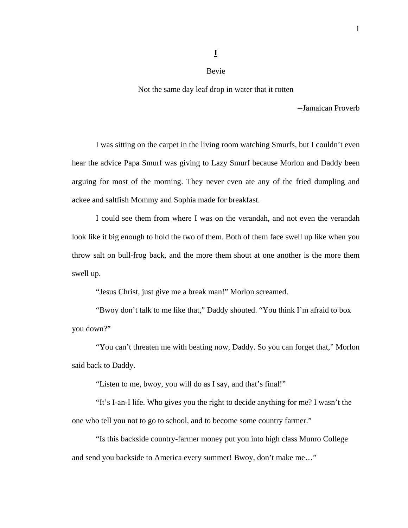# **I**

# Bevie

# Not the same day leaf drop in water that it rotten

--Jamaican Proverb

I was sitting on the carpet in the living room watching Smurfs, but I couldn't even hear the advice Papa Smurf was giving to Lazy Smurf because Morlon and Daddy been arguing for most of the morning. They never even ate any of the fried dumpling and ackee and saltfish Mommy and Sophia made for breakfast.

I could see them from where I was on the verandah, and not even the verandah look like it big enough to hold the two of them. Both of them face swell up like when you throw salt on bull-frog back, and the more them shout at one another is the more them swell up.

"Jesus Christ, just give me a break man!" Morlon screamed.

 "Bwoy don't talk to me like that," Daddy shouted. "You think I'm afraid to box you down?"

 "You can't threaten me with beating now, Daddy. So you can forget that," Morlon said back to Daddy.

"Listen to me, bwoy, you will do as I say, and that's final!"

 "It's I-an-I life. Who gives you the right to decide anything for me? I wasn't the one who tell you not to go to school, and to become some country farmer."

"Is this backside country-farmer money put you into high class Munro College and send you backside to America every summer! Bwoy, don't make me…"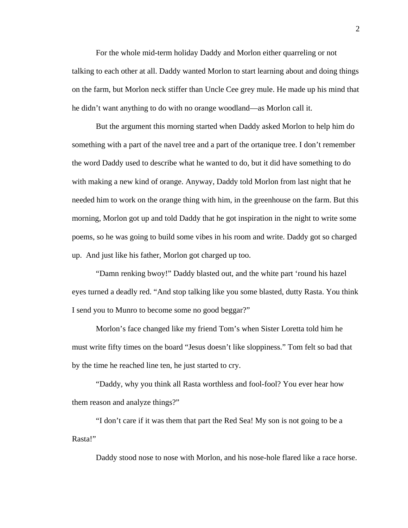For the whole mid-term holiday Daddy and Morlon either quarreling or not talking to each other at all. Daddy wanted Morlon to start learning about and doing things on the farm, but Morlon neck stiffer than Uncle Cee grey mule. He made up his mind that he didn't want anything to do with no orange woodland—as Morlon call it.

 But the argument this morning started when Daddy asked Morlon to help him do something with a part of the navel tree and a part of the ortanique tree. I don't remember the word Daddy used to describe what he wanted to do, but it did have something to do with making a new kind of orange. Anyway, Daddy told Morlon from last night that he needed him to work on the orange thing with him, in the greenhouse on the farm. But this morning, Morlon got up and told Daddy that he got inspiration in the night to write some poems, so he was going to build some vibes in his room and write. Daddy got so charged up. And just like his father, Morlon got charged up too.

 "Damn renking bwoy!" Daddy blasted out, and the white part 'round his hazel eyes turned a deadly red. "And stop talking like you some blasted, dutty Rasta. You think I send you to Munro to become some no good beggar?"

 Morlon's face changed like my friend Tom's when Sister Loretta told him he must write fifty times on the board "Jesus doesn't like sloppiness." Tom felt so bad that by the time he reached line ten, he just started to cry.

"Daddy, why you think all Rasta worthless and fool-fool? You ever hear how them reason and analyze things?"

 "I don't care if it was them that part the Red Sea! My son is not going to be a Rasta!"

Daddy stood nose to nose with Morlon, and his nose-hole flared like a race horse.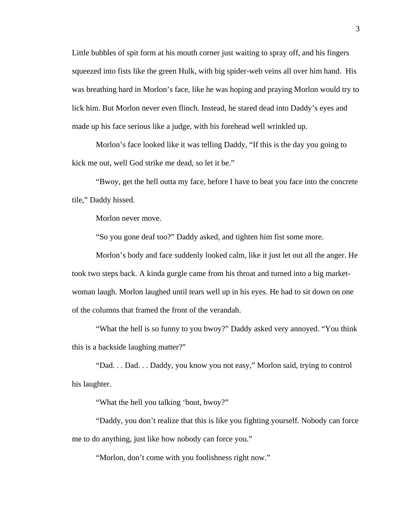Little bubbles of spit form at his mouth corner just waiting to spray off, and his fingers squeezed into fists like the green Hulk, with big spider-web veins all over him hand. His was breathing hard in Morlon's face, like he was hoping and praying Morlon would try to lick him. But Morlon never even flinch. Instead, he stared dead into Daddy's eyes and made up his face serious like a judge, with his forehead well wrinkled up.

Morlon's face looked like it was telling Daddy, "If this is the day you going to kick me out, well God strike me dead, so let it be."

 "Bwoy, get the hell outta my face, before I have to beat you face into the concrete tile," Daddy hissed.

Morlon never move.

"So you gone deaf too?" Daddy asked, and tighten him fist some more.

 Morlon's body and face suddenly looked calm, like it just let out all the anger. He took two steps back. A kinda gurgle came from his throat and turned into a big marketwoman laugh. Morlon laughed until tears well up in his eyes. He had to sit down on one of the columns that framed the front of the verandah.

 "What the hell is so funny to you bwoy?" Daddy asked very annoyed. "You think this is a backside laughing matter?"

 "Dad. . . Dad. . . Daddy, you know you not easy," Morlon said, trying to control his laughter.

"What the hell you talking 'bout, bwoy?"

 "Daddy, you don't realize that this is like you fighting yourself. Nobody can force me to do anything, just like how nobody can force you."

"Morlon, don't come with you foolishness right now."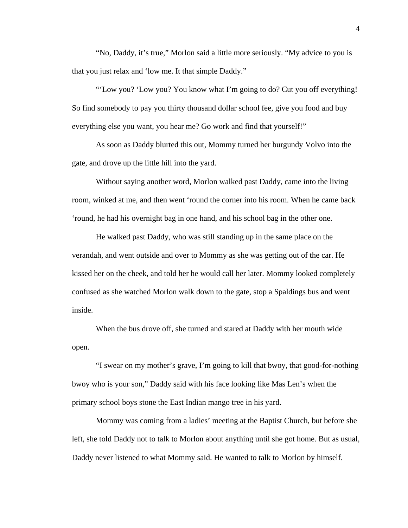"No, Daddy, it's true," Morlon said a little more seriously. "My advice to you is that you just relax and 'low me. It that simple Daddy."

 "'Low you? 'Low you? You know what I'm going to do? Cut you off everything! So find somebody to pay you thirty thousand dollar school fee, give you food and buy everything else you want, you hear me? Go work and find that yourself!"

 As soon as Daddy blurted this out, Mommy turned her burgundy Volvo into the gate, and drove up the little hill into the yard.

Without saying another word, Morlon walked past Daddy, came into the living room, winked at me, and then went 'round the corner into his room. When he came back 'round, he had his overnight bag in one hand, and his school bag in the other one.

 He walked past Daddy, who was still standing up in the same place on the verandah, and went outside and over to Mommy as she was getting out of the car. He kissed her on the cheek, and told her he would call her later. Mommy looked completely confused as she watched Morlon walk down to the gate, stop a Spaldings bus and went inside.

 When the bus drove off, she turned and stared at Daddy with her mouth wide open.

 "I swear on my mother's grave, I'm going to kill that bwoy, that good-for-nothing bwoy who is your son," Daddy said with his face looking like Mas Len's when the primary school boys stone the East Indian mango tree in his yard.

 Mommy was coming from a ladies' meeting at the Baptist Church, but before she left, she told Daddy not to talk to Morlon about anything until she got home. But as usual, Daddy never listened to what Mommy said. He wanted to talk to Morlon by himself.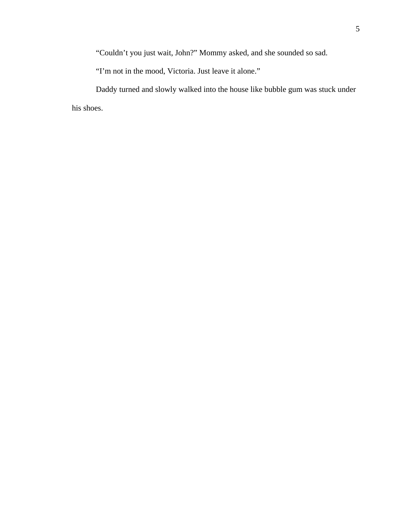"Couldn't you just wait, John?" Mommy asked, and she sounded so sad.

"I'm not in the mood, Victoria. Just leave it alone."

Daddy turned and slowly walked into the house like bubble gum was stuck under his shoes.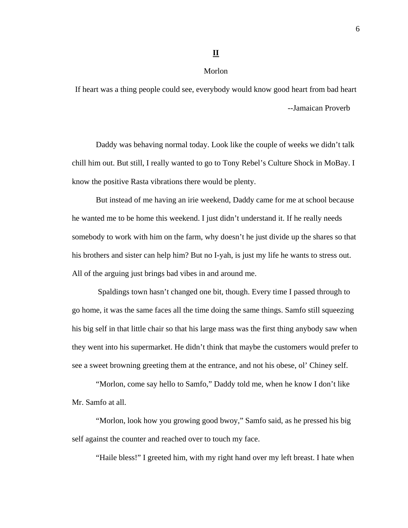# **II**

#### Morlon

If heart was a thing people could see, everybody would know good heart from bad heart --Jamaican Proverb

Daddy was behaving normal today. Look like the couple of weeks we didn't talk chill him out. But still, I really wanted to go to Tony Rebel's Culture Shock in MoBay. I know the positive Rasta vibrations there would be plenty.

 But instead of me having an irie weekend, Daddy came for me at school because he wanted me to be home this weekend. I just didn't understand it. If he really needs somebody to work with him on the farm, why doesn't he just divide up the shares so that his brothers and sister can help him? But no I-yah, is just my life he wants to stress out. All of the arguing just brings bad vibes in and around me.

 Spaldings town hasn't changed one bit, though. Every time I passed through to go home, it was the same faces all the time doing the same things. Samfo still squeezing his big self in that little chair so that his large mass was the first thing anybody saw when they went into his supermarket. He didn't think that maybe the customers would prefer to see a sweet browning greeting them at the entrance, and not his obese, ol' Chiney self.

 "Morlon, come say hello to Samfo," Daddy told me, when he know I don't like Mr. Samfo at all.

 "Morlon, look how you growing good bwoy," Samfo said, as he pressed his big self against the counter and reached over to touch my face.

"Haile bless!" I greeted him, with my right hand over my left breast. I hate when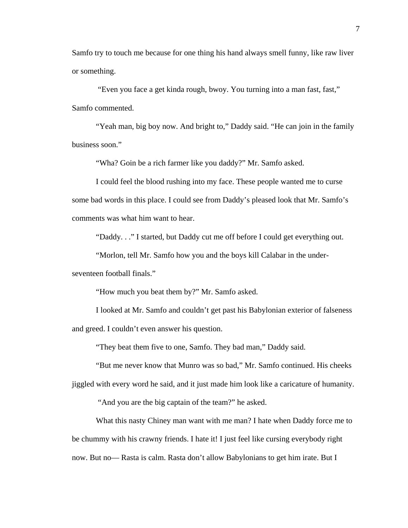Samfo try to touch me because for one thing his hand always smell funny, like raw liver or something.

 "Even you face a get kinda rough, bwoy. You turning into a man fast, fast," Samfo commented.

 "Yeah man, big boy now. And bright to," Daddy said. "He can join in the family business soon."

"Wha? Goin be a rich farmer like you daddy?" Mr. Samfo asked.

I could feel the blood rushing into my face. These people wanted me to curse some bad words in this place. I could see from Daddy's pleased look that Mr. Samfo's comments was what him want to hear.

"Daddy. . ." I started, but Daddy cut me off before I could get everything out.

 "Morlon, tell Mr. Samfo how you and the boys kill Calabar in the underseventeen football finals."

"How much you beat them by?" Mr. Samfo asked.

 I looked at Mr. Samfo and couldn't get past his Babylonian exterior of falseness and greed. I couldn't even answer his question.

"They beat them five to one, Samfo. They bad man," Daddy said.

 "But me never know that Munro was so bad," Mr. Samfo continued. His cheeks jiggled with every word he said, and it just made him look like a caricature of humanity.

"And you are the big captain of the team?" he asked.

 What this nasty Chiney man want with me man? I hate when Daddy force me to be chummy with his crawny friends. I hate it! I just feel like cursing everybody right now. But no— Rasta is calm. Rasta don't allow Babylonians to get him irate. But I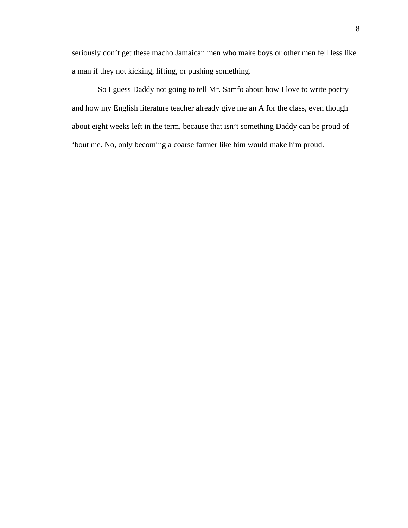seriously don't get these macho Jamaican men who make boys or other men fell less like a man if they not kicking, lifting, or pushing something.

 So I guess Daddy not going to tell Mr. Samfo about how I love to write poetry and how my English literature teacher already give me an A for the class, even though about eight weeks left in the term, because that isn't something Daddy can be proud of 'bout me. No, only becoming a coarse farmer like him would make him proud.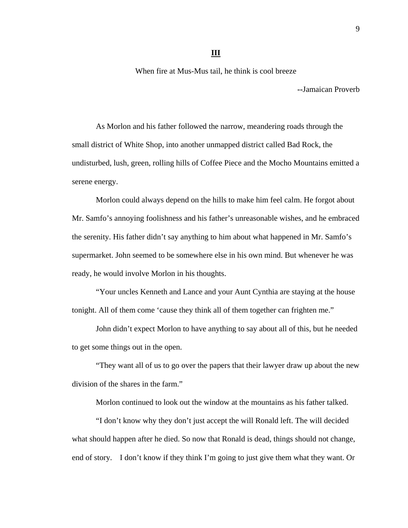**III** 

When fire at Mus-Mus tail, he think is cool breeze

**--**Jamaican Proverb

As Morlon and his father followed the narrow, meandering roads through the small district of White Shop, into another unmapped district called Bad Rock, the undisturbed, lush, green, rolling hills of Coffee Piece and the Mocho Mountains emitted a serene energy.

 Morlon could always depend on the hills to make him feel calm. He forgot about Mr. Samfo's annoying foolishness and his father's unreasonable wishes, and he embraced the serenity. His father didn't say anything to him about what happened in Mr. Samfo's supermarket. John seemed to be somewhere else in his own mind. But whenever he was ready, he would involve Morlon in his thoughts.

 "Your uncles Kenneth and Lance and your Aunt Cynthia are staying at the house tonight. All of them come 'cause they think all of them together can frighten me."

John didn't expect Morlon to have anything to say about all of this, but he needed to get some things out in the open.

 "They want all of us to go over the papers that their lawyer draw up about the new division of the shares in the farm."

Morlon continued to look out the window at the mountains as his father talked.

 "I don't know why they don't just accept the will Ronald left. The will decided what should happen after he died. So now that Ronald is dead, things should not change, end of story. I don't know if they think I'm going to just give them what they want. Or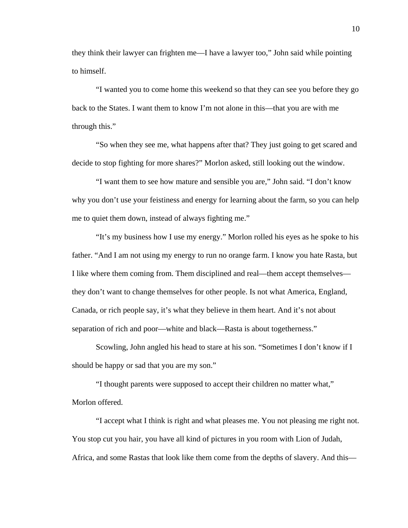they think their lawyer can frighten me—I have a lawyer too," John said while pointing to himself.

"I wanted you to come home this weekend so that they can see you before they go back to the States. I want them to know I'm not alone in this—that you are with me through this."

 "So when they see me, what happens after that? They just going to get scared and decide to stop fighting for more shares?" Morlon asked, still looking out the window.

 "I want them to see how mature and sensible you are," John said. "I don't know why you don't use your feistiness and energy for learning about the farm, so you can help me to quiet them down, instead of always fighting me."

 "It's my business how I use my energy." Morlon rolled his eyes as he spoke to his father. "And I am not using my energy to run no orange farm. I know you hate Rasta, but I like where them coming from. Them disciplined and real—them accept themselves they don't want to change themselves for other people. Is not what America, England, Canada, or rich people say, it's what they believe in them heart. And it's not about separation of rich and poor—white and black—Rasta is about togetherness."

 Scowling, John angled his head to stare at his son. "Sometimes I don't know if I should be happy or sad that you are my son."

 "I thought parents were supposed to accept their children no matter what," Morlon offered.

 "I accept what I think is right and what pleases me. You not pleasing me right not. You stop cut you hair, you have all kind of pictures in you room with Lion of Judah, Africa, and some Rastas that look like them come from the depths of slavery. And this—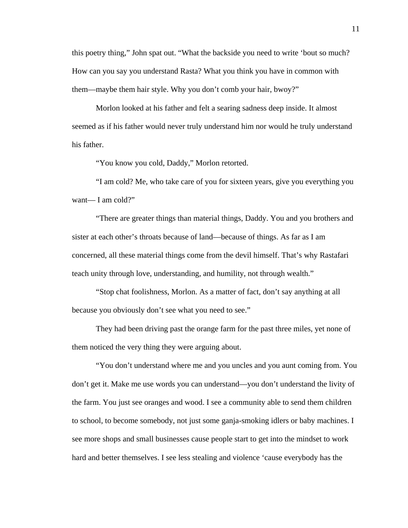this poetry thing," John spat out. "What the backside you need to write 'bout so much? How can you say you understand Rasta? What you think you have in common with them—maybe them hair style. Why you don't comb your hair, bwoy?"

 Morlon looked at his father and felt a searing sadness deep inside. It almost seemed as if his father would never truly understand him nor would he truly understand his father.

"You know you cold, Daddy," Morlon retorted.

 "I am cold? Me, who take care of you for sixteen years, give you everything you want— I am cold?"

 "There are greater things than material things, Daddy. You and you brothers and sister at each other's throats because of land—because of things. As far as I am concerned, all these material things come from the devil himself. That's why Rastafari teach unity through love, understanding, and humility, not through wealth."

 "Stop chat foolishness, Morlon. As a matter of fact, don't say anything at all because you obviously don't see what you need to see."

 They had been driving past the orange farm for the past three miles, yet none of them noticed the very thing they were arguing about.

 "You don't understand where me and you uncles and you aunt coming from. You don't get it. Make me use words you can understand—you don't understand the livity of the farm. You just see oranges and wood. I see a community able to send them children to school, to become somebody, not just some ganja-smoking idlers or baby machines. I see more shops and small businesses cause people start to get into the mindset to work hard and better themselves. I see less stealing and violence 'cause everybody has the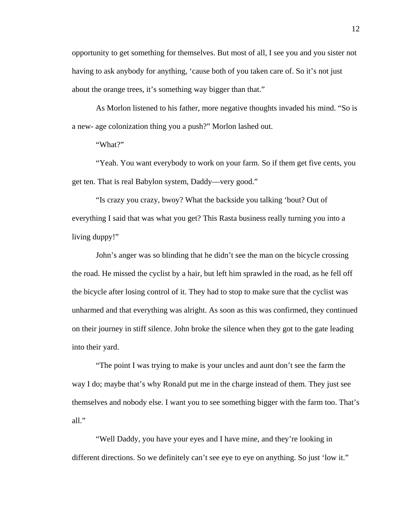opportunity to get something for themselves. But most of all, I see you and you sister not having to ask anybody for anything, 'cause both of you taken care of. So it's not just about the orange trees, it's something way bigger than that."

 As Morlon listened to his father, more negative thoughts invaded his mind. "So is a new- age colonization thing you a push?" Morlon lashed out.

"What?"

 "Yeah. You want everybody to work on your farm. So if them get five cents, you get ten. That is real Babylon system, Daddy—very good."

 "Is crazy you crazy, bwoy? What the backside you talking 'bout? Out of everything I said that was what you get? This Rasta business really turning you into a living duppy!"

 John's anger was so blinding that he didn't see the man on the bicycle crossing the road. He missed the cyclist by a hair, but left him sprawled in the road, as he fell off the bicycle after losing control of it. They had to stop to make sure that the cyclist was unharmed and that everything was alright. As soon as this was confirmed, they continued on their journey in stiff silence. John broke the silence when they got to the gate leading into their yard.

 "The point I was trying to make is your uncles and aunt don't see the farm the way I do; maybe that's why Ronald put me in the charge instead of them. They just see themselves and nobody else. I want you to see something bigger with the farm too. That's all."

 "Well Daddy, you have your eyes and I have mine, and they're looking in different directions. So we definitely can't see eye to eye on anything. So just 'low it."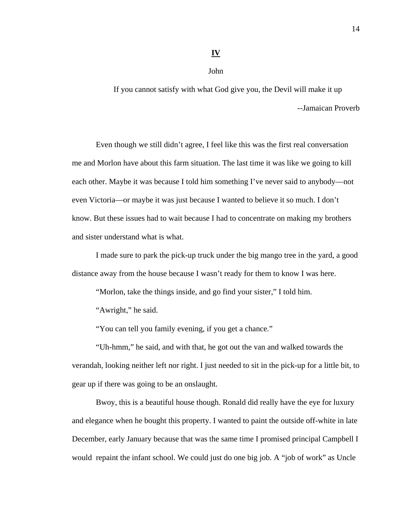# **IV**

#### John

If you cannot satisfy with what God give you, the Devil will make it up --Jamaican Proverb

 Even though we still didn't agree, I feel like this was the first real conversation me and Morlon have about this farm situation. The last time it was like we going to kill each other. Maybe it was because I told him something I've never said to anybody—not even Victoria—or maybe it was just because I wanted to believe it so much. I don't know. But these issues had to wait because I had to concentrate on making my brothers and sister understand what is what.

 I made sure to park the pick-up truck under the big mango tree in the yard, a good distance away from the house because I wasn't ready for them to know I was here.

"Morlon, take the things inside, and go find your sister," I told him.

"Awright," he said.

"You can tell you family evening, if you get a chance."

 "Uh-hmm," he said, and with that, he got out the van and walked towards the verandah, looking neither left nor right. I just needed to sit in the pick-up for a little bit, to gear up if there was going to be an onslaught.

Bwoy, this is a beautiful house though. Ronald did really have the eye for luxury and elegance when he bought this property. I wanted to paint the outside off-white in late December, early January because that was the same time I promised principal Campbell I would repaint the infant school. We could just do one big job. A "job of work" as Uncle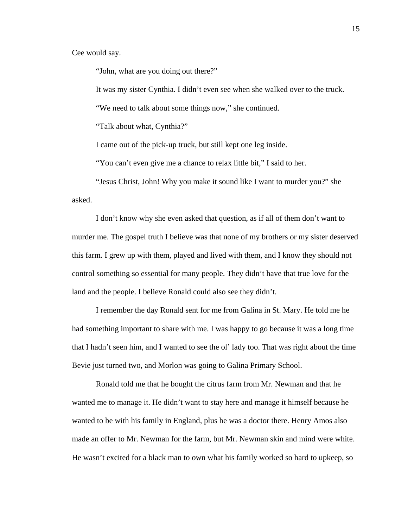Cee would say.

"John, what are you doing out there?"

It was my sister Cynthia. I didn't even see when she walked over to the truck.

"We need to talk about some things now," she continued.

"Talk about what, Cynthia?"

I came out of the pick-up truck, but still kept one leg inside.

"You can't even give me a chance to relax little bit," I said to her.

 "Jesus Christ, John! Why you make it sound like I want to murder you?" she asked.

I don't know why she even asked that question, as if all of them don't want to murder me. The gospel truth I believe was that none of my brothers or my sister deserved this farm. I grew up with them, played and lived with them, and I know they should not control something so essential for many people. They didn't have that true love for the land and the people. I believe Ronald could also see they didn't.

 I remember the day Ronald sent for me from Galina in St. Mary. He told me he had something important to share with me. I was happy to go because it was a long time that I hadn't seen him, and I wanted to see the ol' lady too. That was right about the time Bevie just turned two, and Morlon was going to Galina Primary School.

 Ronald told me that he bought the citrus farm from Mr. Newman and that he wanted me to manage it. He didn't want to stay here and manage it himself because he wanted to be with his family in England, plus he was a doctor there. Henry Amos also made an offer to Mr. Newman for the farm, but Mr. Newman skin and mind were white. He wasn't excited for a black man to own what his family worked so hard to upkeep, so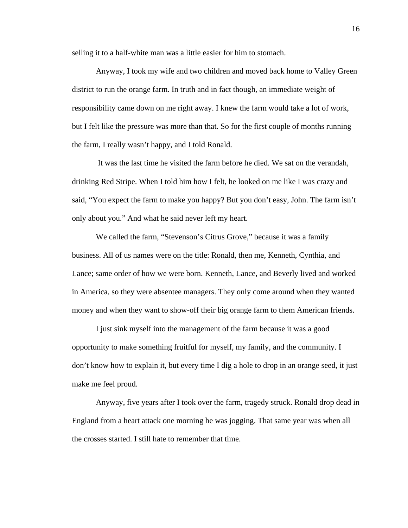selling it to a half-white man was a little easier for him to stomach.

 Anyway, I took my wife and two children and moved back home to Valley Green district to run the orange farm. In truth and in fact though, an immediate weight of responsibility came down on me right away. I knew the farm would take a lot of work, but I felt like the pressure was more than that. So for the first couple of months running the farm, I really wasn't happy, and I told Ronald.

 It was the last time he visited the farm before he died. We sat on the verandah, drinking Red Stripe. When I told him how I felt, he looked on me like I was crazy and said, "You expect the farm to make you happy? But you don't easy, John. The farm isn't only about you." And what he said never left my heart.

 We called the farm, "Stevenson's Citrus Grove," because it was a family business. All of us names were on the title: Ronald, then me, Kenneth, Cynthia, and Lance; same order of how we were born. Kenneth, Lance, and Beverly lived and worked in America, so they were absentee managers. They only come around when they wanted money and when they want to show-off their big orange farm to them American friends.

 I just sink myself into the management of the farm because it was a good opportunity to make something fruitful for myself, my family, and the community. I don't know how to explain it, but every time I dig a hole to drop in an orange seed, it just make me feel proud.

 Anyway, five years after I took over the farm, tragedy struck. Ronald drop dead in England from a heart attack one morning he was jogging. That same year was when all the crosses started. I still hate to remember that time.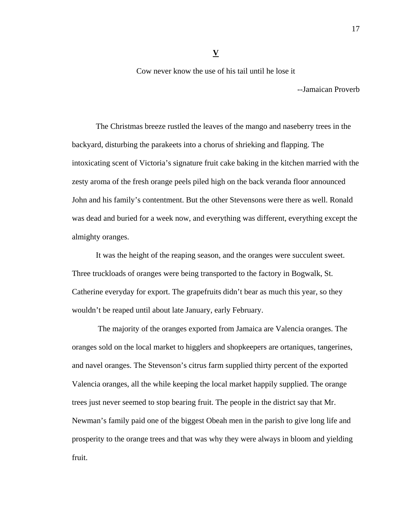**V** 

Cow never know the use of his tail until he lose it

--Jamaican Proverb

The Christmas breeze rustled the leaves of the mango and naseberry trees in the backyard, disturbing the parakeets into a chorus of shrieking and flapping. The intoxicating scent of Victoria's signature fruit cake baking in the kitchen married with the zesty aroma of the fresh orange peels piled high on the back veranda floor announced John and his family's contentment. But the other Stevensons were there as well. Ronald was dead and buried for a week now, and everything was different, everything except the almighty oranges.

 It was the height of the reaping season, and the oranges were succulent sweet. Three truckloads of oranges were being transported to the factory in Bogwalk, St. Catherine everyday for export. The grapefruits didn't bear as much this year, so they wouldn't be reaped until about late January, early February.

 The majority of the oranges exported from Jamaica are Valencia oranges. The oranges sold on the local market to higglers and shopkeepers are ortaniques, tangerines, and navel oranges. The Stevenson's citrus farm supplied thirty percent of the exported Valencia oranges, all the while keeping the local market happily supplied. The orange trees just never seemed to stop bearing fruit. The people in the district say that Mr. Newman's family paid one of the biggest Obeah men in the parish to give long life and prosperity to the orange trees and that was why they were always in bloom and yielding fruit.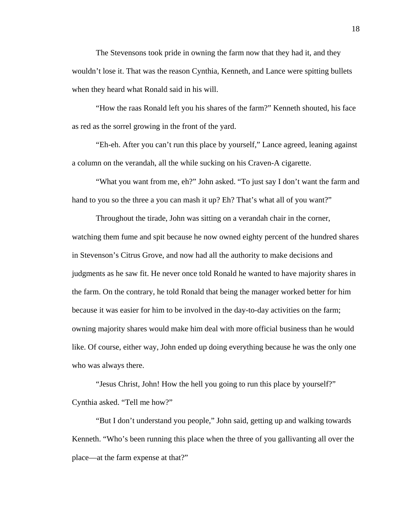The Stevensons took pride in owning the farm now that they had it, and they wouldn't lose it. That was the reason Cynthia, Kenneth, and Lance were spitting bullets when they heard what Ronald said in his will.

 "How the raas Ronald left you his shares of the farm?" Kenneth shouted, his face as red as the sorrel growing in the front of the yard.

 "Eh-eh. After you can't run this place by yourself," Lance agreed, leaning against a column on the verandah, all the while sucking on his Craven-A cigarette.

 "What you want from me, eh?" John asked. "To just say I don't want the farm and hand to you so the three a you can mash it up? Eh? That's what all of you want?"

Throughout the tirade, John was sitting on a verandah chair in the corner, watching them fume and spit because he now owned eighty percent of the hundred shares in Stevenson's Citrus Grove, and now had all the authority to make decisions and judgments as he saw fit. He never once told Ronald he wanted to have majority shares in the farm. On the contrary, he told Ronald that being the manager worked better for him because it was easier for him to be involved in the day-to-day activities on the farm; owning majority shares would make him deal with more official business than he would like. Of course, either way, John ended up doing everything because he was the only one who was always there.

"Jesus Christ, John! How the hell you going to run this place by yourself?" Cynthia asked. "Tell me how?"

 "But I don't understand you people," John said, getting up and walking towards Kenneth. "Who's been running this place when the three of you gallivanting all over the place—at the farm expense at that?"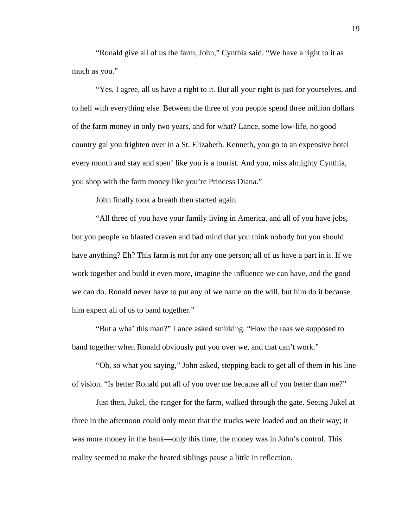"Ronald give all of us the farm, John," Cynthia said. "We have a right to it as much as you."

 "Yes, I agree, all us have a right to it. But all your right is just for yourselves, and to hell with everything else. Between the three of you people spend three million dollars of the farm money in only two years, and for what? Lance, some low-life, no good country gal you frighten over in a St. Elizabeth. Kenneth, you go to an expensive hotel every month and stay and spen' like you is a tourist. And you, miss almighty Cynthia, you shop with the farm money like you're Princess Diana."

John finally took a breath then started again.

 "All three of you have your family living in America, and all of you have jobs, but you people so blasted craven and bad mind that you think nobody but you should have anything? Eh? This farm is not for any one person; all of us have a part in it. If we work together and build it even more, imagine the influence we can have, and the good we can do. Ronald never have to put any of we name on the will, but him do it because him expect all of us to band together."

 "But a wha' this man?" Lance asked smirking. "How the raas we supposed to band together when Ronald obviously put you over we, and that can't work."

 "Oh, so what you saying," John asked, stepping back to get all of them in his line of vision. "Is better Ronald put all of you over me because all of you better than me?"

 Just then, Jukel, the ranger for the farm, walked through the gate. Seeing Jukel at three in the afternoon could only mean that the trucks were loaded and on their way; it was more money in the bank—only this time, the money was in John's control. This reality seemed to make the heated siblings pause a little in reflection.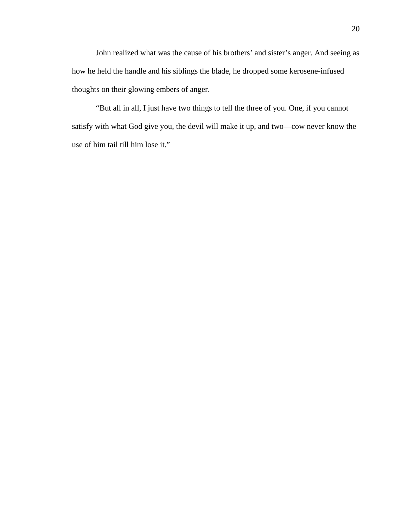John realized what was the cause of his brothers' and sister's anger. And seeing as how he held the handle and his siblings the blade, he dropped some kerosene-infused thoughts on their glowing embers of anger.

"But all in all, I just have two things to tell the three of you. One, if you cannot satisfy with what God give you, the devil will make it up, and two—cow never know the use of him tail till him lose it."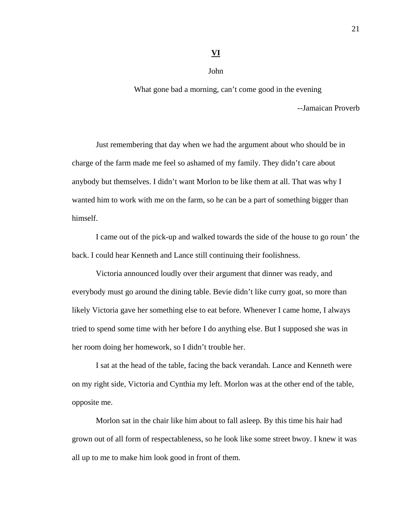# **VI**

#### John

What gone bad a morning, can't come good in the evening --Jamaican Proverb

Just remembering that day when we had the argument about who should be in charge of the farm made me feel so ashamed of my family. They didn't care about anybody but themselves. I didn't want Morlon to be like them at all. That was why I wanted him to work with me on the farm, so he can be a part of something bigger than himself.

I came out of the pick-up and walked towards the side of the house to go roun' the back. I could hear Kenneth and Lance still continuing their foolishness.

 Victoria announced loudly over their argument that dinner was ready, and everybody must go around the dining table. Bevie didn't like curry goat, so more than likely Victoria gave her something else to eat before. Whenever I came home, I always tried to spend some time with her before I do anything else. But I supposed she was in her room doing her homework, so I didn't trouble her.

 I sat at the head of the table, facing the back verandah. Lance and Kenneth were on my right side, Victoria and Cynthia my left. Morlon was at the other end of the table, opposite me.

 Morlon sat in the chair like him about to fall asleep. By this time his hair had grown out of all form of respectableness, so he look like some street bwoy. I knew it was all up to me to make him look good in front of them.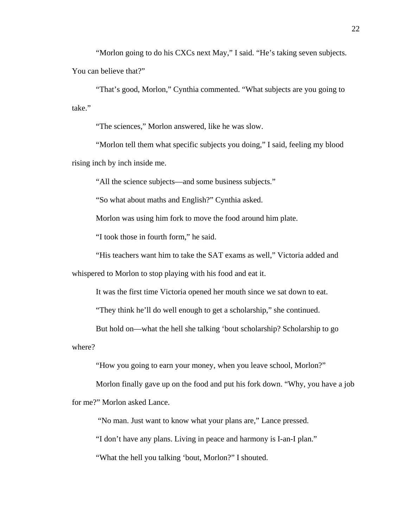"Morlon going to do his CXCs next May," I said. "He's taking seven subjects. You can believe that?"

 "That's good, Morlon," Cynthia commented. "What subjects are you going to take."

"The sciences," Morlon answered, like he was slow.

 "Morlon tell them what specific subjects you doing," I said, feeling my blood rising inch by inch inside me.

"All the science subjects—and some business subjects."

"So what about maths and English?" Cynthia asked.

Morlon was using him fork to move the food around him plate.

"I took those in fourth form," he said.

"His teachers want him to take the SAT exams as well," Victoria added and

whispered to Morlon to stop playing with his food and eat it.

It was the first time Victoria opened her mouth since we sat down to eat.

"They think he'll do well enough to get a scholarship," she continued.

But hold on—what the hell she talking 'bout scholarship? Scholarship to go

where?

"How you going to earn your money, when you leave school, Morlon?"

Morlon finally gave up on the food and put his fork down. "Why, you have a job

for me?" Morlon asked Lance.

"No man. Just want to know what your plans are," Lance pressed.

"I don't have any plans. Living in peace and harmony is I-an-I plan."

"What the hell you talking 'bout, Morlon?" I shouted.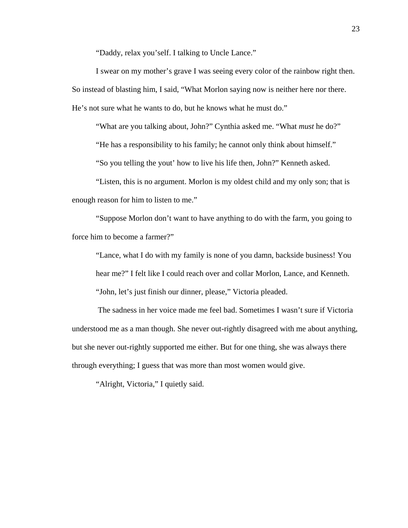"Daddy, relax you'self. I talking to Uncle Lance."

 I swear on my mother's grave I was seeing every color of the rainbow right then. So instead of blasting him, I said, "What Morlon saying now is neither here nor there. He's not sure what he wants to do, but he knows what he must do."

"What are you talking about, John?" Cynthia asked me. "What *must* he do?"

"He has a responsibility to his family; he cannot only think about himself."

"So you telling the yout' how to live his life then, John?" Kenneth asked.

 "Listen, this is no argument. Morlon is my oldest child and my only son; that is enough reason for him to listen to me."

 "Suppose Morlon don't want to have anything to do with the farm, you going to force him to become a farmer?"

"Lance, what I do with my family is none of you damn, backside business! You hear me?" I felt like I could reach over and collar Morlon, Lance, and Kenneth. "John, let's just finish our dinner, please," Victoria pleaded.

 The sadness in her voice made me feel bad. Sometimes I wasn't sure if Victoria understood me as a man though. She never out-rightly disagreed with me about anything, but she never out-rightly supported me either. But for one thing, she was always there through everything; I guess that was more than most women would give.

"Alright, Victoria," I quietly said.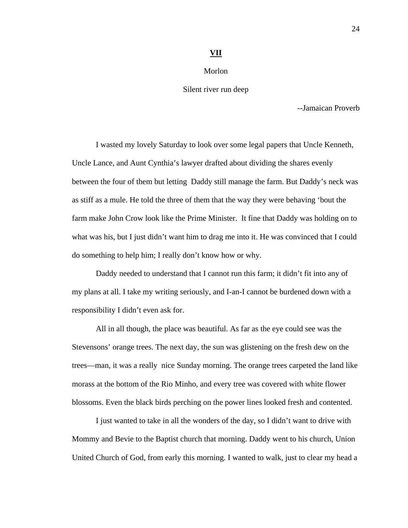#### 24

#### **VII**

#### Morlon

#### Silent river run deep

--Jamaican Proverb

I wasted my lovely Saturday to look over some legal papers that Uncle Kenneth, Uncle Lance, and Aunt Cynthia's lawyer drafted about dividing the shares evenly between the four of them but letting Daddy still manage the farm. But Daddy's neck was as stiff as a mule. He told the three of them that the way they were behaving 'bout the farm make John Crow look like the Prime Minister. It fine that Daddy was holding on to what was his, but I just didn't want him to drag me into it. He was convinced that I could do something to help him; I really don't know how or why.

 Daddy needed to understand that I cannot run this farm; it didn't fit into any of my plans at all. I take my writing seriously, and I-an-I cannot be burdened down with a responsibility I didn't even ask for.

 All in all though, the place was beautiful. As far as the eye could see was the Stevensons' orange trees. The next day, the sun was glistening on the fresh dew on the trees—man, it was a really nice Sunday morning. The orange trees carpeted the land like morass at the bottom of the Rio Minho, and every tree was covered with white flower blossoms. Even the black birds perching on the power lines looked fresh and contented.

 I just wanted to take in all the wonders of the day, so I didn't want to drive with Mommy and Bevie to the Baptist church that morning. Daddy went to his church, Union United Church of God, from early this morning. I wanted to walk, just to clear my head a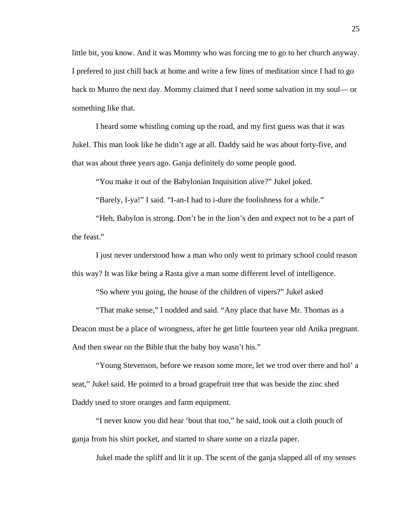little bit, you know. And it was Mommy who was forcing me to go to her church anyway. I prefered to just chill back at home and write a few lines of meditation since I had to go back to Munro the next day. Mommy claimed that I need some salvation in my soul— or something like that.

 I heard some whistling coming up the road, and my first guess was that it was Jukel. This man look like he didn't age at all. Daddy said he was about forty-five, and that was about three years ago. Ganja definitely do some people good.

"You make it out of the Babylonian Inquisition alive?" Jukel joked.

"Barely, I-ya!" I said. "I-an-I had to i-dure the foolishness for a while."

 "Heh, Babylon is strong. Don't be in the lion's den and expect not to be a part of the feast."

 I just never understood how a man who only went to primary school could reason this way? It was like being a Rasta give a man some different level of intelligence.

"So where you going, the house of the children of vipers?" Jukel asked

 "That make sense," I nodded and said. "Any place that have Mr. Thomas as a Deacon must be a place of wrongness, after he get little fourteen year old Anika pregnant. And then swear on the Bible that the baby boy wasn't his."

 "Young Stevenson, before we reason some more, let we trod over there and hol' a seat," Jukel said. He pointed to a broad grapefruit tree that was beside the zinc shed Daddy used to store oranges and farm equipment.

 "I never know you did hear 'bout that too," he said, took out a cloth pouch of ganja from his shirt pocket, and started to share some on a rizzla paper.

Jukel made the spliff and lit it up. The scent of the ganja slapped all of my senses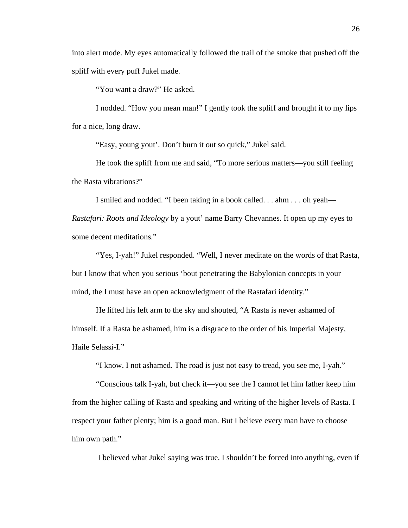into alert mode. My eyes automatically followed the trail of the smoke that pushed off the spliff with every puff Jukel made.

"You want a draw?" He asked.

 I nodded. "How you mean man!" I gently took the spliff and brought it to my lips for a nice, long draw.

"Easy, young yout'. Don't burn it out so quick," Jukel said.

 He took the spliff from me and said, "To more serious matters—you still feeling the Rasta vibrations?"

I smiled and nodded. "I been taking in a book called. . . ahm . . . oh yeah—

*Rastafari: Roots and Ideology* by a yout' name Barry Chevannes. It open up my eyes to some decent meditations."

 "Yes, I-yah!" Jukel responded. "Well, I never meditate on the words of that Rasta, but I know that when you serious 'bout penetrating the Babylonian concepts in your mind, the I must have an open acknowledgment of the Rastafari identity."

He lifted his left arm to the sky and shouted, "A Rasta is never ashamed of himself. If a Rasta be ashamed, him is a disgrace to the order of his Imperial Majesty, Haile Selassi-I."

"I know. I not ashamed. The road is just not easy to tread, you see me, I-yah."

"Conscious talk I-yah, but check it—you see the I cannot let him father keep him from the higher calling of Rasta and speaking and writing of the higher levels of Rasta. I respect your father plenty; him is a good man. But I believe every man have to choose him own path."

I believed what Jukel saying was true. I shouldn't be forced into anything, even if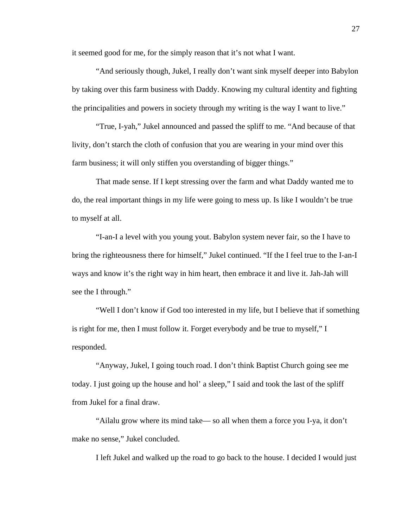it seemed good for me, for the simply reason that it's not what I want.

"And seriously though, Jukel, I really don't want sink myself deeper into Babylon by taking over this farm business with Daddy. Knowing my cultural identity and fighting the principalities and powers in society through my writing is the way I want to live."

"True, I-yah," Jukel announced and passed the spliff to me. "And because of that livity, don't starch the cloth of confusion that you are wearing in your mind over this farm business; it will only stiffen you overstanding of bigger things."

 That made sense. If I kept stressing over the farm and what Daddy wanted me to do, the real important things in my life were going to mess up. Is like I wouldn't be true to myself at all.

 "I-an-I a level with you young yout. Babylon system never fair, so the I have to bring the righteousness there for himself," Jukel continued. "If the I feel true to the I-an-I ways and know it's the right way in him heart, then embrace it and live it. Jah-Jah will see the I through."

 "Well I don't know if God too interested in my life, but I believe that if something is right for me, then I must follow it. Forget everybody and be true to myself," I responded.

 "Anyway, Jukel, I going touch road. I don't think Baptist Church going see me today. I just going up the house and hol' a sleep," I said and took the last of the spliff from Jukel for a final draw.

 "Ailalu grow where its mind take— so all when them a force you I-ya, it don't make no sense," Jukel concluded.

I left Jukel and walked up the road to go back to the house. I decided I would just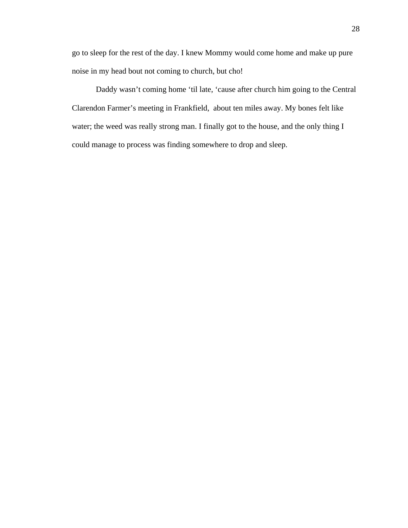go to sleep for the rest of the day. I knew Mommy would come home and make up pure noise in my head bout not coming to church, but cho!

 Daddy wasn't coming home 'til late, 'cause after church him going to the Central Clarendon Farmer's meeting in Frankfield, about ten miles away. My bones felt like water; the weed was really strong man. I finally got to the house, and the only thing I could manage to process was finding somewhere to drop and sleep.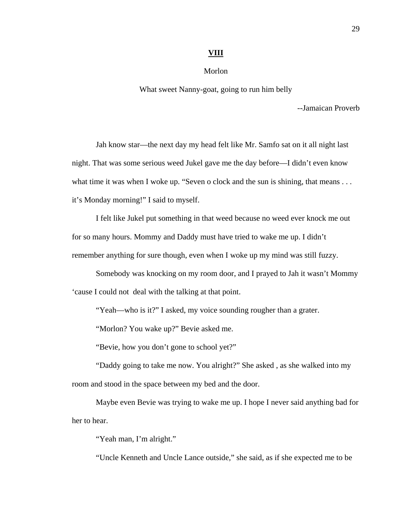#### **VIII**

### Morlon

What sweet Nanny-goat, going to run him belly

--Jamaican Proverb

 Jah know star—the next day my head felt like Mr. Samfo sat on it all night last night. That was some serious weed Jukel gave me the day before—I didn't even know what time it was when I woke up. "Seven o clock and the sun is shining, that means . . . it's Monday morning!" I said to myself.

 I felt like Jukel put something in that weed because no weed ever knock me out for so many hours. Mommy and Daddy must have tried to wake me up. I didn't remember anything for sure though, even when I woke up my mind was still fuzzy.

 Somebody was knocking on my room door, and I prayed to Jah it wasn't Mommy 'cause I could not deal with the talking at that point.

"Yeah—who is it?" I asked, my voice sounding rougher than a grater.

"Morlon? You wake up?" Bevie asked me.

"Bevie, how you don't gone to school yet?"

 "Daddy going to take me now. You alright?" She asked , as she walked into my room and stood in the space between my bed and the door.

 Maybe even Bevie was trying to wake me up. I hope I never said anything bad for her to hear.

"Yeah man, I'm alright."

"Uncle Kenneth and Uncle Lance outside," she said, as if she expected me to be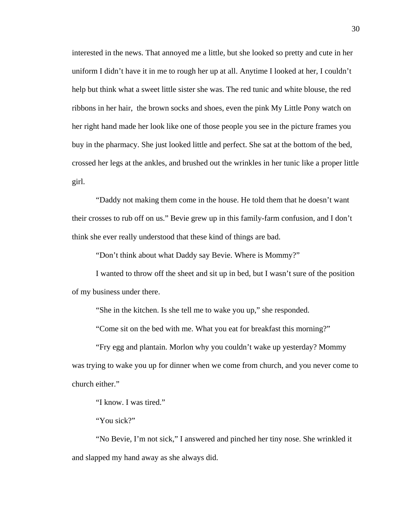interested in the news. That annoyed me a little, but she looked so pretty and cute in her uniform I didn't have it in me to rough her up at all. Anytime I looked at her, I couldn't help but think what a sweet little sister she was. The red tunic and white blouse, the red ribbons in her hair, the brown socks and shoes, even the pink My Little Pony watch on her right hand made her look like one of those people you see in the picture frames you buy in the pharmacy. She just looked little and perfect. She sat at the bottom of the bed, crossed her legs at the ankles, and brushed out the wrinkles in her tunic like a proper little girl.

 "Daddy not making them come in the house. He told them that he doesn't want their crosses to rub off on us." Bevie grew up in this family-farm confusion, and I don't think she ever really understood that these kind of things are bad.

"Don't think about what Daddy say Bevie. Where is Mommy?"

I wanted to throw off the sheet and sit up in bed, but I wasn't sure of the position of my business under there.

"She in the kitchen. Is she tell me to wake you up," she responded.

"Come sit on the bed with me. What you eat for breakfast this morning?"

 "Fry egg and plantain. Morlon why you couldn't wake up yesterday? Mommy was trying to wake you up for dinner when we come from church, and you never come to church either."

"I know. I was tired."

"You sick?"

 "No Bevie, I'm not sick," I answered and pinched her tiny nose. She wrinkled it and slapped my hand away as she always did.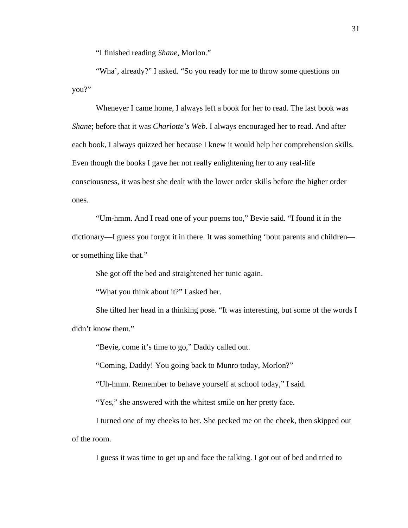"I finished reading *Shane*, Morlon."

 "Wha', already?" I asked. "So you ready for me to throw some questions on you?"

Whenever I came home, I always left a book for her to read. The last book was *Shane*; before that it was *Charlotte's Web.* I always encouraged her to read. And after each book, I always quizzed her because I knew it would help her comprehension skills. Even though the books I gave her not really enlightening her to any real-life consciousness, it was best she dealt with the lower order skills before the higher order ones.

 "Um-hmm. And I read one of your poems too," Bevie said. "I found it in the dictionary—I guess you forgot it in there. It was something 'bout parents and children or something like that."

She got off the bed and straightened her tunic again.

"What you think about it?" I asked her.

She tilted her head in a thinking pose. "It was interesting, but some of the words I didn't know them."

"Bevie, come it's time to go," Daddy called out.

"Coming, Daddy! You going back to Munro today, Morlon?"

"Uh-hmm. Remember to behave yourself at school today," I said.

"Yes," she answered with the whitest smile on her pretty face.

 I turned one of my cheeks to her. She pecked me on the cheek, then skipped out of the room.

I guess it was time to get up and face the talking. I got out of bed and tried to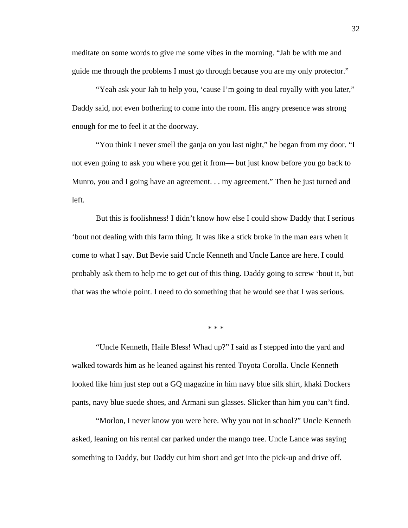meditate on some words to give me some vibes in the morning. "Jah be with me and guide me through the problems I must go through because you are my only protector."

"Yeah ask your Jah to help you, 'cause I'm going to deal royally with you later," Daddy said, not even bothering to come into the room. His angry presence was strong enough for me to feel it at the doorway.

"You think I never smell the ganja on you last night," he began from my door. "I not even going to ask you where you get it from— but just know before you go back to Munro, you and I going have an agreement. . . my agreement." Then he just turned and left.

But this is foolishness! I didn't know how else I could show Daddy that I serious 'bout not dealing with this farm thing. It was like a stick broke in the man ears when it come to what I say. But Bevie said Uncle Kenneth and Uncle Lance are here. I could probably ask them to help me to get out of this thing. Daddy going to screw 'bout it, but that was the whole point. I need to do something that he would see that I was serious.

\* \* \*

"Uncle Kenneth, Haile Bless! Whad up?" I said as I stepped into the yard and walked towards him as he leaned against his rented Toyota Corolla. Uncle Kenneth looked like him just step out a GQ magazine in him navy blue silk shirt, khaki Dockers pants, navy blue suede shoes, and Armani sun glasses. Slicker than him you can't find.

 "Morlon, I never know you were here. Why you not in school?" Uncle Kenneth asked, leaning on his rental car parked under the mango tree. Uncle Lance was saying something to Daddy, but Daddy cut him short and get into the pick-up and drive off.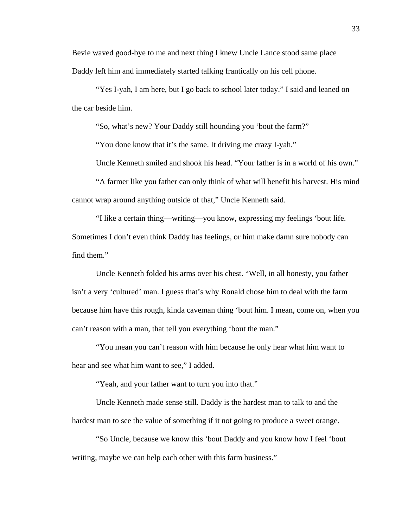Bevie waved good-bye to me and next thing I knew Uncle Lance stood same place Daddy left him and immediately started talking frantically on his cell phone.

 "Yes I-yah, I am here, but I go back to school later today." I said and leaned on the car beside him.

"So, what's new? Your Daddy still hounding you 'bout the farm?"

"You done know that it's the same. It driving me crazy I-yah."

Uncle Kenneth smiled and shook his head. "Your father is in a world of his own."

 "A farmer like you father can only think of what will benefit his harvest. His mind cannot wrap around anything outside of that," Uncle Kenneth said.

 "I like a certain thing—writing—you know, expressing my feelings 'bout life. Sometimes I don't even think Daddy has feelings, or him make damn sure nobody can find them."

 Uncle Kenneth folded his arms over his chest. "Well, in all honesty, you father isn't a very 'cultured' man. I guess that's why Ronald chose him to deal with the farm because him have this rough, kinda caveman thing 'bout him. I mean, come on, when you can't reason with a man, that tell you everything 'bout the man."

 "You mean you can't reason with him because he only hear what him want to hear and see what him want to see," I added.

"Yeah, and your father want to turn you into that."

 Uncle Kenneth made sense still. Daddy is the hardest man to talk to and the hardest man to see the value of something if it not going to produce a sweet orange.

 "So Uncle, because we know this 'bout Daddy and you know how I feel 'bout writing, maybe we can help each other with this farm business."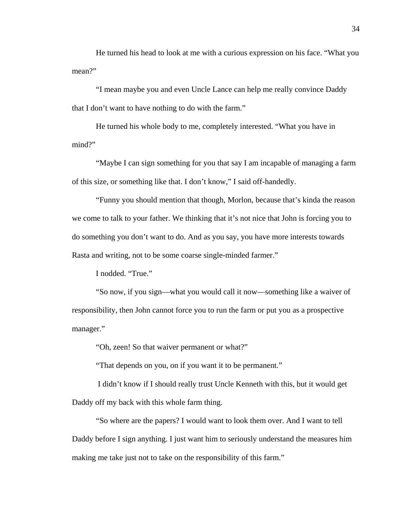He turned his head to look at me with a curious expression on his face. "What you mean?"

 "I mean maybe you and even Uncle Lance can help me really convince Daddy that I don't want to have nothing to do with the farm."

 He turned his whole body to me, completely interested. "What you have in mind?"

 "Maybe I can sign something for you that say I am incapable of managing a farm of this size, or something like that. I don't know," I said off-handedly.

 "Funny you should mention that though, Morlon, because that's kinda the reason we come to talk to your father. We thinking that it's not nice that John is forcing you to do something you don't want to do. And as you say, you have more interests towards Rasta and writing, not to be some coarse single-minded farmer."

I nodded. "True."

 "So now, if you sign—what you would call it now—something like a waiver of responsibility, then John cannot force you to run the farm or put you as a prospective manager."

"Oh, zeen! So that waiver permanent or what?"

"That depends on you, on if you want it to be permanent."

 I didn't know if I should really trust Uncle Kenneth with this, but it would get Daddy off my back with this whole farm thing.

"So where are the papers? I would want to look them over. And I want to tell Daddy before I sign anything. I just want him to seriously understand the measures him making me take just not to take on the responsibility of this farm."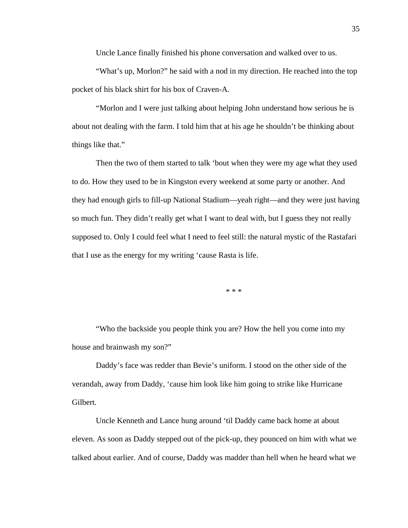Uncle Lance finally finished his phone conversation and walked over to us.

"What's up, Morlon?" he said with a nod in my direction. He reached into the top pocket of his black shirt for his box of Craven-A.

"Morlon and I were just talking about helping John understand how serious he is about not dealing with the farm. I told him that at his age he shouldn't be thinking about things like that."

Then the two of them started to talk 'bout when they were my age what they used to do. How they used to be in Kingston every weekend at some party or another. And they had enough girls to fill-up National Stadium—yeah right—and they were just having so much fun. They didn't really get what I want to deal with, but I guess they not really supposed to. Only I could feel what I need to feel still: the natural mystic of the Rastafari that I use as the energy for my writing 'cause Rasta is life.

\* \* \*

"Who the backside you people think you are? How the hell you come into my house and brainwash my son?"

Daddy's face was redder than Bevie's uniform. I stood on the other side of the verandah, away from Daddy, 'cause him look like him going to strike like Hurricane Gilbert.

Uncle Kenneth and Lance hung around 'til Daddy came back home at about eleven. As soon as Daddy stepped out of the pick-up, they pounced on him with what we talked about earlier. And of course, Daddy was madder than hell when he heard what we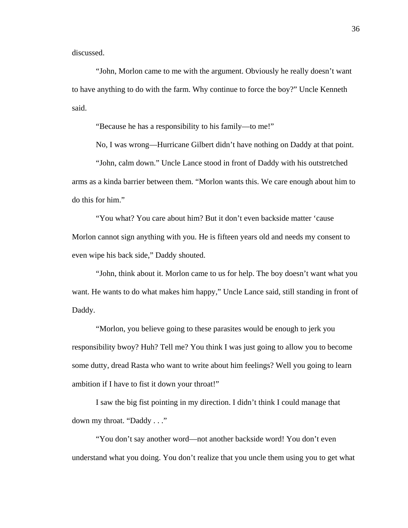discussed.

"John, Morlon came to me with the argument. Obviously he really doesn't want to have anything to do with the farm. Why continue to force the boy?" Uncle Kenneth said.

"Because he has a responsibility to his family—to me!"

No, I was wrong—Hurricane Gilbert didn't have nothing on Daddy at that point.

"John, calm down." Uncle Lance stood in front of Daddy with his outstretched arms as a kinda barrier between them. "Morlon wants this. We care enough about him to do this for him."

"You what? You care about him? But it don't even backside matter 'cause Morlon cannot sign anything with you. He is fifteen years old and needs my consent to even wipe his back side," Daddy shouted.

"John, think about it. Morlon came to us for help. The boy doesn't want what you want. He wants to do what makes him happy," Uncle Lance said, still standing in front of Daddy.

"Morlon, you believe going to these parasites would be enough to jerk you responsibility bwoy? Huh? Tell me? You think I was just going to allow you to become some dutty, dread Rasta who want to write about him feelings? Well you going to learn ambition if I have to fist it down your throat!"

I saw the big fist pointing in my direction. I didn't think I could manage that down my throat. "Daddy . . ."

"You don't say another word—not another backside word! You don't even understand what you doing. You don't realize that you uncle them using you to get what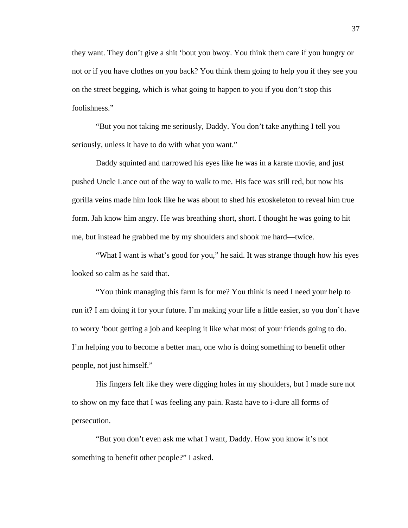they want. They don't give a shit 'bout you bwoy. You think them care if you hungry or not or if you have clothes on you back? You think them going to help you if they see you on the street begging, which is what going to happen to you if you don't stop this foolishness."

 "But you not taking me seriously, Daddy. You don't take anything I tell you seriously, unless it have to do with what you want."

 Daddy squinted and narrowed his eyes like he was in a karate movie, and just pushed Uncle Lance out of the way to walk to me. His face was still red, but now his gorilla veins made him look like he was about to shed his exoskeleton to reveal him true form. Jah know him angry. He was breathing short, short. I thought he was going to hit me, but instead he grabbed me by my shoulders and shook me hard—twice.

"What I want is what's good for you," he said. It was strange though how his eyes looked so calm as he said that.

"You think managing this farm is for me? You think is need I need your help to run it? I am doing it for your future. I'm making your life a little easier, so you don't have to worry 'bout getting a job and keeping it like what most of your friends going to do. I'm helping you to become a better man, one who is doing something to benefit other people, not just himself."

His fingers felt like they were digging holes in my shoulders, but I made sure not to show on my face that I was feeling any pain. Rasta have to i-dure all forms of persecution.

 "But you don't even ask me what I want, Daddy. How you know it's not something to benefit other people?" I asked.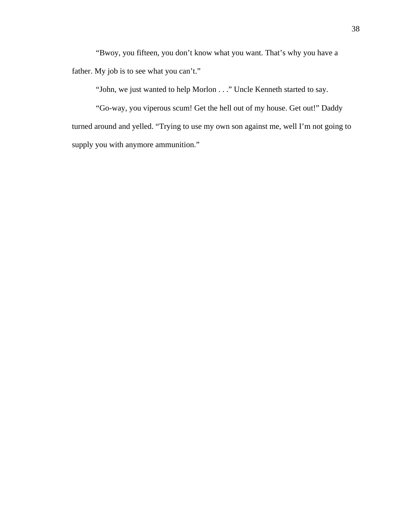"Bwoy, you fifteen, you don't know what you want. That's why you have a father. My job is to see what you can't."

"John, we just wanted to help Morlon . . ." Uncle Kenneth started to say.

 "Go-way, you viperous scum! Get the hell out of my house. Get out!" Daddy turned around and yelled. "Trying to use my own son against me, well I'm not going to supply you with anymore ammunition."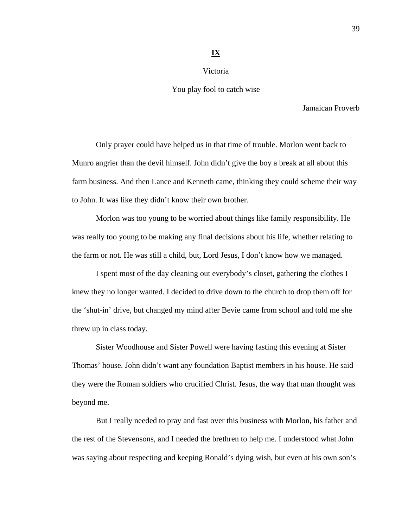## **IX**

#### Victoria

You play fool to catch wise

Jamaican Proverb

 Only prayer could have helped us in that time of trouble. Morlon went back to Munro angrier than the devil himself. John didn't give the boy a break at all about this farm business. And then Lance and Kenneth came, thinking they could scheme their way to John. It was like they didn't know their own brother.

 Morlon was too young to be worried about things like family responsibility. He was really too young to be making any final decisions about his life, whether relating to the farm or not. He was still a child, but, Lord Jesus, I don't know how we managed.

 I spent most of the day cleaning out everybody's closet, gathering the clothes I knew they no longer wanted. I decided to drive down to the church to drop them off for the 'shut-in' drive, but changed my mind after Bevie came from school and told me she threw up in class today.

 Sister Woodhouse and Sister Powell were having fasting this evening at Sister Thomas' house. John didn't want any foundation Baptist members in his house. He said they were the Roman soldiers who crucified Christ. Jesus, the way that man thought was beyond me.

 But I really needed to pray and fast over this business with Morlon, his father and the rest of the Stevensons, and I needed the brethren to help me. I understood what John was saying about respecting and keeping Ronald's dying wish, but even at his own son's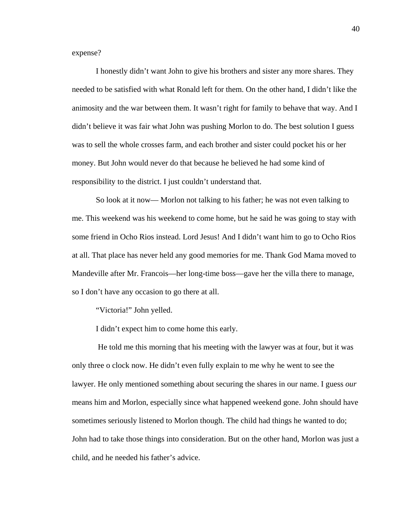expense?

 I honestly didn't want John to give his brothers and sister any more shares. They needed to be satisfied with what Ronald left for them. On the other hand, I didn't like the animosity and the war between them. It wasn't right for family to behave that way. And I didn't believe it was fair what John was pushing Morlon to do. The best solution I guess was to sell the whole crosses farm, and each brother and sister could pocket his or her money. But John would never do that because he believed he had some kind of responsibility to the district. I just couldn't understand that.

 So look at it now— Morlon not talking to his father; he was not even talking to me. This weekend was his weekend to come home, but he said he was going to stay with some friend in Ocho Rios instead. Lord Jesus! And I didn't want him to go to Ocho Rios at all. That place has never held any good memories for me. Thank God Mama moved to Mandeville after Mr. Francois—her long-time boss—gave her the villa there to manage, so I don't have any occasion to go there at all.

"Victoria!" John yelled.

I didn't expect him to come home this early.

 He told me this morning that his meeting with the lawyer was at four, but it was only three o clock now. He didn't even fully explain to me why he went to see the lawyer. He only mentioned something about securing the shares in our name. I guess *our* means him and Morlon, especially since what happened weekend gone. John should have sometimes seriously listened to Morlon though. The child had things he wanted to do; John had to take those things into consideration. But on the other hand, Morlon was just a child, and he needed his father's advice.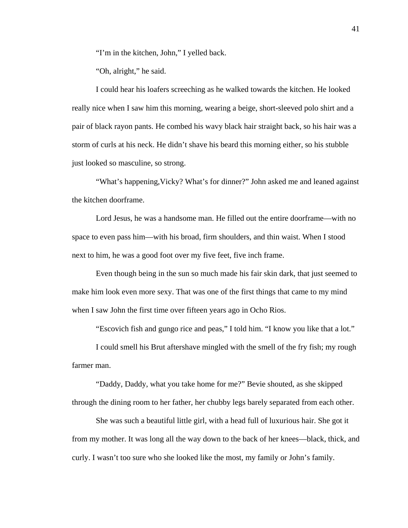"I'm in the kitchen, John," I yelled back.

"Oh, alright," he said.

I could hear his loafers screeching as he walked towards the kitchen. He looked really nice when I saw him this morning, wearing a beige, short-sleeved polo shirt and a pair of black rayon pants. He combed his wavy black hair straight back, so his hair was a storm of curls at his neck. He didn't shave his beard this morning either, so his stubble just looked so masculine, so strong.

 "What's happening,Vicky? What's for dinner?" John asked me and leaned against the kitchen doorframe.

 Lord Jesus, he was a handsome man. He filled out the entire doorframe—with no space to even pass him—with his broad, firm shoulders, and thin waist. When I stood next to him, he was a good foot over my five feet, five inch frame.

 Even though being in the sun so much made his fair skin dark, that just seemed to make him look even more sexy. That was one of the first things that came to my mind when I saw John the first time over fifteen years ago in Ocho Rios.

"Escovich fish and gungo rice and peas," I told him. "I know you like that a lot."

 I could smell his Brut aftershave mingled with the smell of the fry fish; my rough farmer man.

 "Daddy, Daddy, what you take home for me?" Bevie shouted, as she skipped through the dining room to her father, her chubby legs barely separated from each other.

 She was such a beautiful little girl, with a head full of luxurious hair. She got it from my mother. It was long all the way down to the back of her knees—black, thick, and curly. I wasn't too sure who she looked like the most, my family or John's family.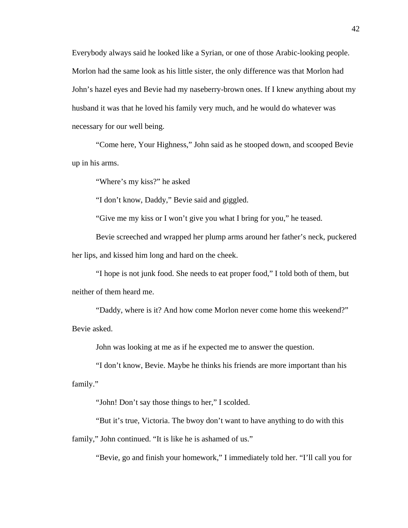Everybody always said he looked like a Syrian, or one of those Arabic-looking people. Morlon had the same look as his little sister, the only difference was that Morlon had John's hazel eyes and Bevie had my naseberry-brown ones. If I knew anything about my husband it was that he loved his family very much, and he would do whatever was necessary for our well being.

 "Come here, Your Highness," John said as he stooped down, and scooped Bevie up in his arms.

"Where's my kiss?" he asked

"I don't know, Daddy," Bevie said and giggled.

"Give me my kiss or I won't give you what I bring for you," he teased.

 Bevie screeched and wrapped her plump arms around her father's neck, puckered her lips, and kissed him long and hard on the cheek.

 "I hope is not junk food. She needs to eat proper food," I told both of them, but neither of them heard me.

 "Daddy, where is it? And how come Morlon never come home this weekend?" Bevie asked.

John was looking at me as if he expected me to answer the question.

 "I don't know, Bevie. Maybe he thinks his friends are more important than his family."

"John! Don't say those things to her," I scolded.

"But it's true, Victoria. The bwoy don't want to have anything to do with this

family," John continued. "It is like he is ashamed of us."

"Bevie, go and finish your homework," I immediately told her. "I'll call you for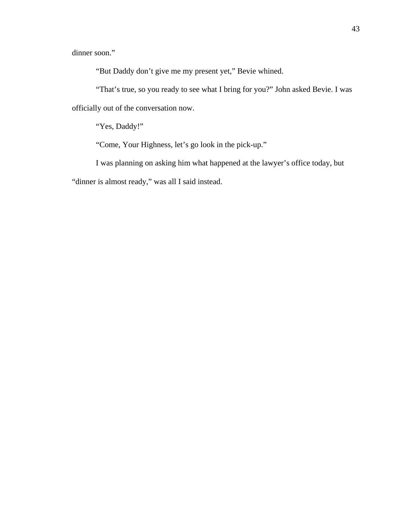dinner soon."

"But Daddy don't give me my present yet," Bevie whined.

 "That's true, so you ready to see what I bring for you?" John asked Bevie. I was officially out of the conversation now.

"Yes, Daddy!"

"Come, Your Highness, let's go look in the pick-up."

 I was planning on asking him what happened at the lawyer's office today, but "dinner is almost ready," was all I said instead.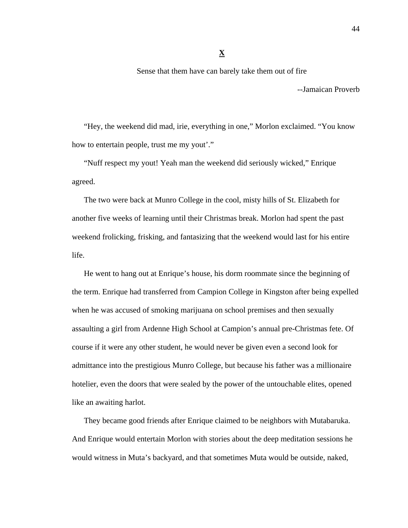**X** 

Sense that them have can barely take them out of fire

--Jamaican Proverb

"Hey, the weekend did mad, irie, everything in one," Morlon exclaimed. "You know how to entertain people, trust me my yout'."

"Nuff respect my yout! Yeah man the weekend did seriously wicked," Enrique agreed.

The two were back at Munro College in the cool, misty hills of St. Elizabeth for another five weeks of learning until their Christmas break. Morlon had spent the past weekend frolicking, frisking, and fantasizing that the weekend would last for his entire life.

He went to hang out at Enrique's house, his dorm roommate since the beginning of the term. Enrique had transferred from Campion College in Kingston after being expelled when he was accused of smoking marijuana on school premises and then sexually assaulting a girl from Ardenne High School at Campion's annual pre-Christmas fete. Of course if it were any other student, he would never be given even a second look for admittance into the prestigious Munro College, but because his father was a millionaire hotelier, even the doors that were sealed by the power of the untouchable elites, opened like an awaiting harlot.

They became good friends after Enrique claimed to be neighbors with Mutabaruka. And Enrique would entertain Morlon with stories about the deep meditation sessions he would witness in Muta's backyard, and that sometimes Muta would be outside, naked,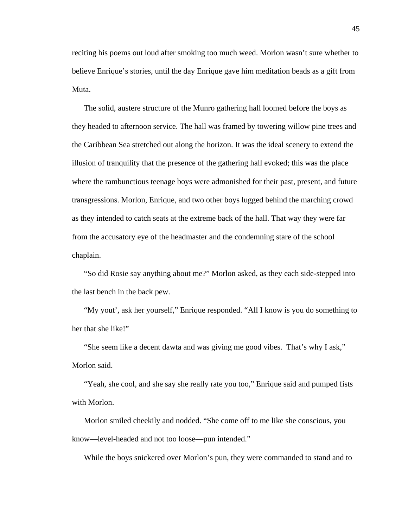reciting his poems out loud after smoking too much weed. Morlon wasn't sure whether to believe Enrique's stories, until the day Enrique gave him meditation beads as a gift from Muta.

The solid, austere structure of the Munro gathering hall loomed before the boys as they headed to afternoon service. The hall was framed by towering willow pine trees and the Caribbean Sea stretched out along the horizon. It was the ideal scenery to extend the illusion of tranquility that the presence of the gathering hall evoked; this was the place where the rambunctious teenage boys were admonished for their past, present, and future transgressions. Morlon, Enrique, and two other boys lugged behind the marching crowd as they intended to catch seats at the extreme back of the hall. That way they were far from the accusatory eye of the headmaster and the condemning stare of the school chaplain.

"So did Rosie say anything about me?" Morlon asked, as they each side-stepped into the last bench in the back pew.

"My yout', ask her yourself," Enrique responded. "All I know is you do something to her that she like!"

"She seem like a decent dawta and was giving me good vibes. That's why I ask," Morlon said.

"Yeah, she cool, and she say she really rate you too," Enrique said and pumped fists with Morlon.

Morlon smiled cheekily and nodded. "She come off to me like she conscious, you know—level-headed and not too loose—pun intended."

While the boys snickered over Morlon's pun, they were commanded to stand and to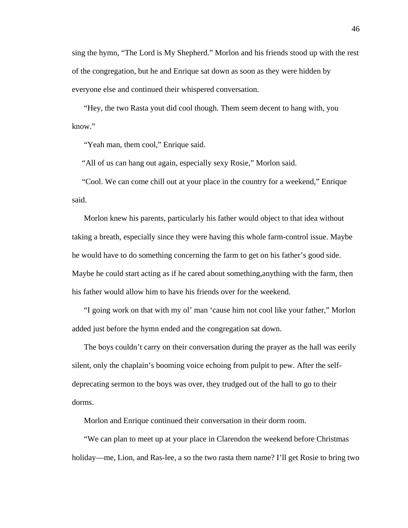sing the hymn, "The Lord is My Shepherd." Morlon and his friends stood up with the rest of the congregation, but he and Enrique sat down as soon as they were hidden by everyone else and continued their whispered conversation.

"Hey, the two Rasta yout did cool though. Them seem decent to hang with, you know."

"Yeah man, them cool," Enrique said.

"All of us can hang out again, especially sexy Rosie," Morlon said.

 "Cool. We can come chill out at your place in the country for a weekend," Enrique said.

Morlon knew his parents, particularly his father would object to that idea without taking a breath, especially since they were having this whole farm-control issue. Maybe he would have to do something concerning the farm to get on his father's good side. Maybe he could start acting as if he cared about something,anything with the farm, then his father would allow him to have his friends over for the weekend.

"I going work on that with my ol' man 'cause him not cool like your father," Morlon added just before the hymn ended and the congregation sat down.

The boys couldn't carry on their conversation during the prayer as the hall was eerily silent, only the chaplain's booming voice echoing from pulpit to pew. After the selfdeprecating sermon to the boys was over, they trudged out of the hall to go to their dorms.

Morlon and Enrique continued their conversation in their dorm room.

"We can plan to meet up at your place in Clarendon the weekend before Christmas holiday—me, Lion, and Ras-lee, a so the two rasta them name? I'll get Rosie to bring two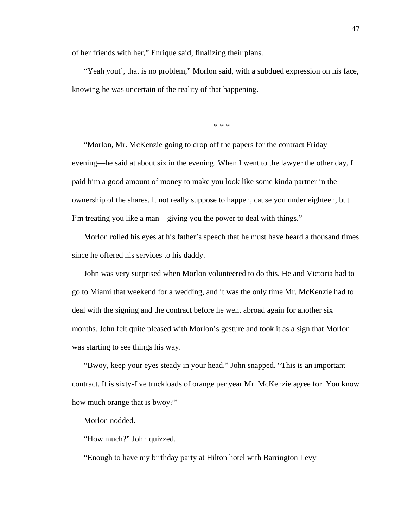of her friends with her," Enrique said, finalizing their plans.

"Yeah yout', that is no problem," Morlon said, with a subdued expression on his face, knowing he was uncertain of the reality of that happening.

\* \* \*

"Morlon, Mr. McKenzie going to drop off the papers for the contract Friday evening—he said at about six in the evening. When I went to the lawyer the other day, I paid him a good amount of money to make you look like some kinda partner in the ownership of the shares. It not really suppose to happen, cause you under eighteen, but I'm treating you like a man—giving you the power to deal with things."

Morlon rolled his eyes at his father's speech that he must have heard a thousand times since he offered his services to his daddy.

John was very surprised when Morlon volunteered to do this. He and Victoria had to go to Miami that weekend for a wedding, and it was the only time Mr. McKenzie had to deal with the signing and the contract before he went abroad again for another six months. John felt quite pleased with Morlon's gesture and took it as a sign that Morlon was starting to see things his way.

"Bwoy, keep your eyes steady in your head," John snapped. "This is an important contract. It is sixty-five truckloads of orange per year Mr. McKenzie agree for. You know how much orange that is bwoy?"

Morlon nodded.

"How much?" John quizzed.

"Enough to have my birthday party at Hilton hotel with Barrington Levy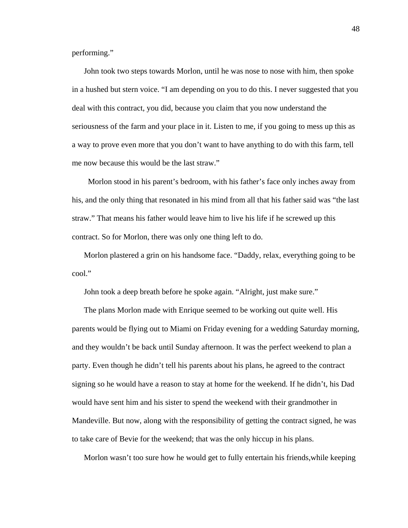performing."

John took two steps towards Morlon, until he was nose to nose with him, then spoke in a hushed but stern voice. "I am depending on you to do this. I never suggested that you deal with this contract, you did, because you claim that you now understand the seriousness of the farm and your place in it. Listen to me, if you going to mess up this as a way to prove even more that you don't want to have anything to do with this farm, tell me now because this would be the last straw."

 Morlon stood in his parent's bedroom, with his father's face only inches away from his, and the only thing that resonated in his mind from all that his father said was "the last straw." That means his father would leave him to live his life if he screwed up this contract. So for Morlon, there was only one thing left to do.

Morlon plastered a grin on his handsome face. "Daddy, relax, everything going to be cool."

John took a deep breath before he spoke again. "Alright, just make sure."

The plans Morlon made with Enrique seemed to be working out quite well. His parents would be flying out to Miami on Friday evening for a wedding Saturday morning, and they wouldn't be back until Sunday afternoon. It was the perfect weekend to plan a party. Even though he didn't tell his parents about his plans, he agreed to the contract signing so he would have a reason to stay at home for the weekend. If he didn't, his Dad would have sent him and his sister to spend the weekend with their grandmother in Mandeville. But now, along with the responsibility of getting the contract signed, he was to take care of Bevie for the weekend; that was the only hiccup in his plans.

Morlon wasn't too sure how he would get to fully entertain his friends,while keeping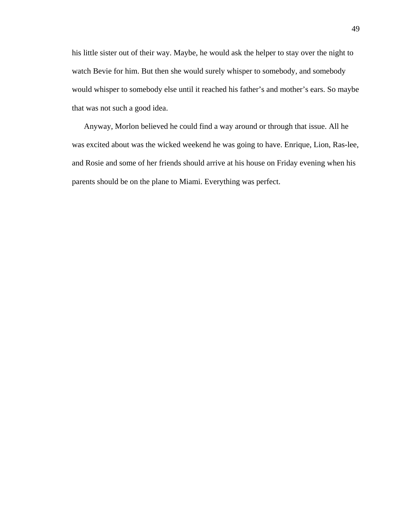his little sister out of their way. Maybe, he would ask the helper to stay over the night to watch Bevie for him. But then she would surely whisper to somebody, and somebody would whisper to somebody else until it reached his father's and mother's ears. So maybe that was not such a good idea.

Anyway, Morlon believed he could find a way around or through that issue. All he was excited about was the wicked weekend he was going to have. Enrique, Lion, Ras-lee, and Rosie and some of her friends should arrive at his house on Friday evening when his parents should be on the plane to Miami. Everything was perfect.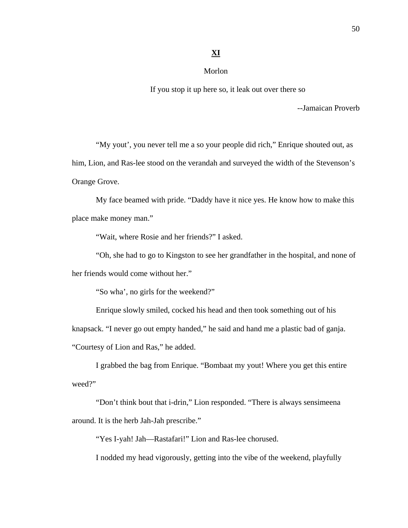# **XI**

# Morlon

If you stop it up here so, it leak out over there so

--Jamaican Proverb

"My yout', you never tell me a so your people did rich," Enrique shouted out, as him, Lion, and Ras-lee stood on the verandah and surveyed the width of the Stevenson's Orange Grove.

 My face beamed with pride. "Daddy have it nice yes. He know how to make this place make money man."

"Wait, where Rosie and her friends?" I asked.

 "Oh, she had to go to Kingston to see her grandfather in the hospital, and none of her friends would come without her."

"So wha', no girls for the weekend?"

 Enrique slowly smiled, cocked his head and then took something out of his knapsack. "I never go out empty handed," he said and hand me a plastic bad of ganja. "Courtesy of Lion and Ras," he added.

 I grabbed the bag from Enrique. "Bombaat my yout! Where you get this entire weed?"

 "Don't think bout that i-drin," Lion responded. "There is always sensimeena around. It is the herb Jah-Jah prescribe."

"Yes I-yah! Jah—Rastafari!" Lion and Ras-lee chorused.

I nodded my head vigorously, getting into the vibe of the weekend, playfully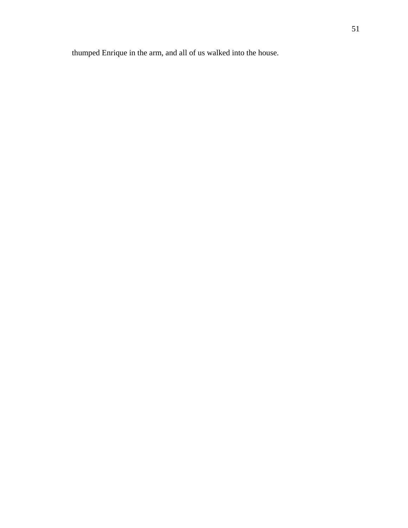thumped Enrique in the arm, and all of us walked into the house.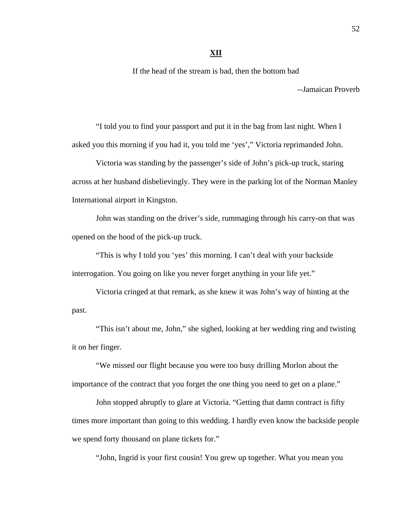If the head of the stream is bad, then the bottom bad

--Jamaican Proverb

 "I told you to find your passport and put it in the bag from last night. When I asked you this morning if you had it, you told me 'yes'," Victoria reprimanded John.

Victoria was standing by the passenger's side of John's pick-up truck, staring across at her husband disbelievingly. They were in the parking lot of the Norman Manley International airport in Kingston.

 John was standing on the driver's side, rummaging through his carry-on that was opened on the hood of the pick-up truck.

"This is why I told you 'yes' this morning. I can't deal with your backside interrogation. You going on like you never forget anything in your life yet."

Victoria cringed at that remark, as she knew it was John's way of hinting at the past.

"This isn't about me, John," she sighed, looking at her wedding ring and twisting it on her finger.

"We missed our flight because you were too busy drilling Morlon about the importance of the contract that you forget the one thing you need to get on a plane."

John stopped abruptly to glare at Victoria. "Getting that damn contract is fifty times more important than going to this wedding. I hardly even know the backside people we spend forty thousand on plane tickets for."

"John, Ingrid is your first cousin! You grew up together. What you mean you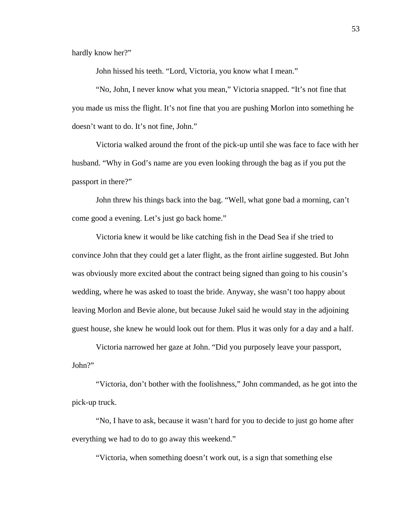hardly know her?"

John hissed his teeth. "Lord, Victoria, you know what I mean."

"No, John, I never know what you mean," Victoria snapped. "It's not fine that you made us miss the flight. It's not fine that you are pushing Morlon into something he doesn't want to do. It's not fine, John."

Victoria walked around the front of the pick-up until she was face to face with her husband. "Why in God's name are you even looking through the bag as if you put the passport in there?"

John threw his things back into the bag. "Well, what gone bad a morning, can't come good a evening. Let's just go back home."

Victoria knew it would be like catching fish in the Dead Sea if she tried to convince John that they could get a later flight, as the front airline suggested. But John was obviously more excited about the contract being signed than going to his cousin's wedding, where he was asked to toast the bride. Anyway, she wasn't too happy about leaving Morlon and Bevie alone, but because Jukel said he would stay in the adjoining guest house, she knew he would look out for them. Plus it was only for a day and a half.

Victoria narrowed her gaze at John. "Did you purposely leave your passport, John?"

"Victoria, don't bother with the foolishness," John commanded, as he got into the pick-up truck.

"No, I have to ask, because it wasn't hard for you to decide to just go home after everything we had to do to go away this weekend."

"Victoria, when something doesn't work out, is a sign that something else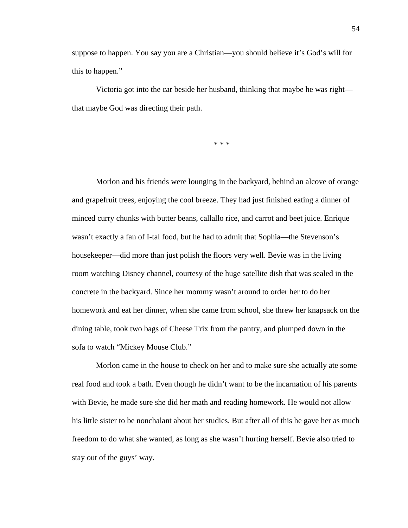suppose to happen. You say you are a Christian—you should believe it's God's will for this to happen."

Victoria got into the car beside her husband, thinking that maybe he was right that maybe God was directing their path.

\* \* \*

 Morlon and his friends were lounging in the backyard, behind an alcove of orange and grapefruit trees, enjoying the cool breeze. They had just finished eating a dinner of minced curry chunks with butter beans, callallo rice, and carrot and beet juice. Enrique wasn't exactly a fan of I-tal food, but he had to admit that Sophia—the Stevenson's housekeeper—did more than just polish the floors very well. Bevie was in the living room watching Disney channel, courtesy of the huge satellite dish that was sealed in the concrete in the backyard. Since her mommy wasn't around to order her to do her homework and eat her dinner, when she came from school, she threw her knapsack on the dining table, took two bags of Cheese Trix from the pantry, and plumped down in the sofa to watch "Mickey Mouse Club."

Morlon came in the house to check on her and to make sure she actually ate some real food and took a bath. Even though he didn't want to be the incarnation of his parents with Bevie, he made sure she did her math and reading homework. He would not allow his little sister to be nonchalant about her studies. But after all of this he gave her as much freedom to do what she wanted, as long as she wasn't hurting herself. Bevie also tried to stay out of the guys' way.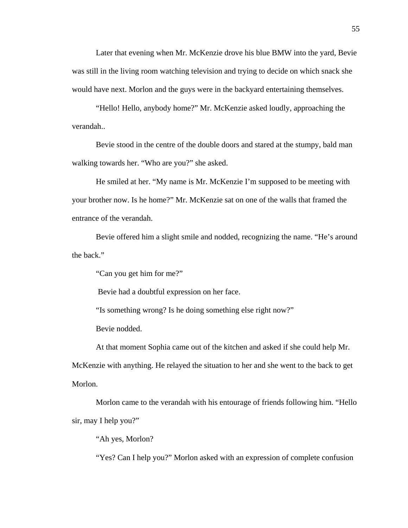Later that evening when Mr. McKenzie drove his blue BMW into the yard, Bevie was still in the living room watching television and trying to decide on which snack she would have next. Morlon and the guys were in the backyard entertaining themselves.

 "Hello! Hello, anybody home?" Mr. McKenzie asked loudly, approaching the verandah..

 Bevie stood in the centre of the double doors and stared at the stumpy, bald man walking towards her. "Who are you?" she asked.

 He smiled at her. "My name is Mr. McKenzie I'm supposed to be meeting with your brother now. Is he home?" Mr. McKenzie sat on one of the walls that framed the entrance of the verandah.

 Bevie offered him a slight smile and nodded, recognizing the name. "He's around the back."

"Can you get him for me?"

Bevie had a doubtful expression on her face.

"Is something wrong? Is he doing something else right now?"

Bevie nodded.

At that moment Sophia came out of the kitchen and asked if she could help Mr.

McKenzie with anything. He relayed the situation to her and she went to the back to get Morlon.

 Morlon came to the verandah with his entourage of friends following him. "Hello sir, may I help you?"

"Ah yes, Morlon?

"Yes? Can I help you?" Morlon asked with an expression of complete confusion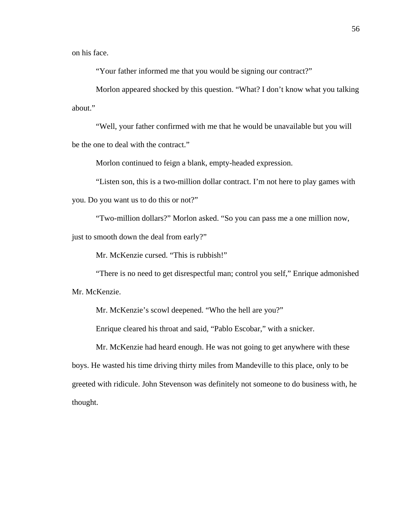on his face.

"Your father informed me that you would be signing our contract?"

 Morlon appeared shocked by this question. "What? I don't know what you talking about."

 "Well, your father confirmed with me that he would be unavailable but you will be the one to deal with the contract."

Morlon continued to feign a blank, empty-headed expression.

 "Listen son, this is a two-million dollar contract. I'm not here to play games with you. Do you want us to do this or not?"

 "Two-million dollars?" Morlon asked. "So you can pass me a one million now, just to smooth down the deal from early?"

Mr. McKenzie cursed. "This is rubbish!"

 "There is no need to get disrespectful man; control you self," Enrique admonished Mr. McKenzie.

Mr. McKenzie's scowl deepened. "Who the hell are you?"

Enrique cleared his throat and said, "Pablo Escobar," with a snicker.

Mr. McKenzie had heard enough. He was not going to get anywhere with these boys. He wasted his time driving thirty miles from Mandeville to this place, only to be greeted with ridicule. John Stevenson was definitely not someone to do business with, he thought.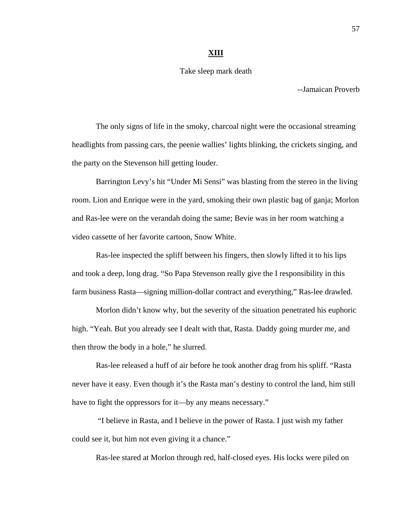## **XIII**

#### Take sleep mark death

--Jamaican Proverb

The only signs of life in the smoky, charcoal night were the occasional streaming headlights from passing cars, the peenie wallies' lights blinking, the crickets singing, and the party on the Stevenson hill getting louder.

Barrington Levy's hit "Under Mi Sensi" was blasting from the stereo in the living room. Lion and Enrique were in the yard, smoking their own plastic bag of ganja; Morlon and Ras-lee were on the verandah doing the same; Bevie was in her room watching a video cassette of her favorite cartoon, Snow White.

Ras-lee inspected the spliff between his fingers, then slowly lifted it to his lips and took a deep, long drag. "So Papa Stevenson really give the I responsibility in this farm business Rasta—signing million-dollar contract and everything," Ras-lee drawled.

Morlon didn't know why, but the severity of the situation penetrated his euphoric high. "Yeah. But you already see I dealt with that, Rasta. Daddy going murder me, and then throw the body in a hole," he slurred.

Ras-lee released a huff of air before he took another drag from his spliff. "Rasta never have it easy. Even though it's the Rasta man's destiny to control the land, him still have to fight the oppressors for it—by any means necessary."

 "I believe in Rasta, and I believe in the power of Rasta. I just wish my father could see it, but him not even giving it a chance."

Ras-lee stared at Morlon through red, half-closed eyes. His locks were piled on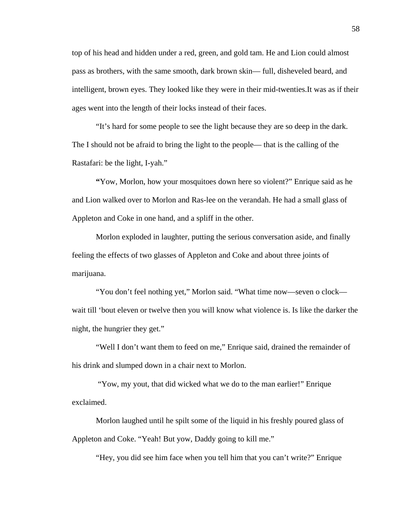top of his head and hidden under a red, green, and gold tam. He and Lion could almost pass as brothers, with the same smooth, dark brown skin— full, disheveled beard, and intelligent, brown eyes. They looked like they were in their mid-twenties.It was as if their ages went into the length of their locks instead of their faces.

"It's hard for some people to see the light because they are so deep in the dark. The I should not be afraid to bring the light to the people— that is the calling of the Rastafari: be the light, I-yah."

**"**Yow, Morlon, how your mosquitoes down here so violent?" Enrique said as he and Lion walked over to Morlon and Ras-lee on the verandah. He had a small glass of Appleton and Coke in one hand, and a spliff in the other.

Morlon exploded in laughter, putting the serious conversation aside, and finally feeling the effects of two glasses of Appleton and Coke and about three joints of marijuana.

"You don't feel nothing yet," Morlon said. "What time now—seven o clock wait till 'bout eleven or twelve then you will know what violence is. Is like the darker the night, the hungrier they get."

 "Well I don't want them to feed on me," Enrique said, drained the remainder of his drink and slumped down in a chair next to Morlon.

 "Yow, my yout, that did wicked what we do to the man earlier!" Enrique exclaimed.

 Morlon laughed until he spilt some of the liquid in his freshly poured glass of Appleton and Coke. "Yeah! But yow, Daddy going to kill me."

"Hey, you did see him face when you tell him that you can't write?" Enrique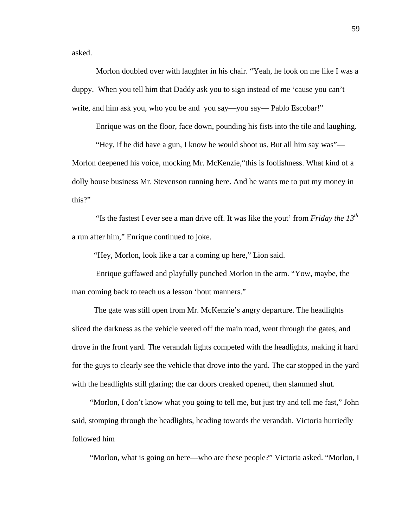asked.

 Morlon doubled over with laughter in his chair. "Yeah, he look on me like I was a duppy. When you tell him that Daddy ask you to sign instead of me 'cause you can't write, and him ask you, who you be and you say—you say—Pablo Escobar!"

Enrique was on the floor, face down, pounding his fists into the tile and laughing.

 "Hey, if he did have a gun, I know he would shoot us. But all him say was"— Morlon deepened his voice, mocking Mr. McKenzie,"this is foolishness. What kind of a dolly house business Mr. Stevenson running here. And he wants me to put my money in this?"

"Is the fastest I ever see a man drive off. It was like the yout' from *Friday the 13th* a run after him," Enrique continued to joke.

"Hey, Morlon, look like a car a coming up here," Lion said.

 Enrique guffawed and playfully punched Morlon in the arm. "Yow, maybe, the man coming back to teach us a lesson 'bout manners."

 The gate was still open from Mr. McKenzie's angry departure. The headlights sliced the darkness as the vehicle veered off the main road, went through the gates, and drove in the front yard. The verandah lights competed with the headlights, making it hard for the guys to clearly see the vehicle that drove into the yard. The car stopped in the yard with the headlights still glaring; the car doors creaked opened, then slammed shut.

 "Morlon, I don't know what you going to tell me, but just try and tell me fast," John said, stomping through the headlights, heading towards the verandah. Victoria hurriedly followed him

"Morlon, what is going on here—who are these people?" Victoria asked. "Morlon, I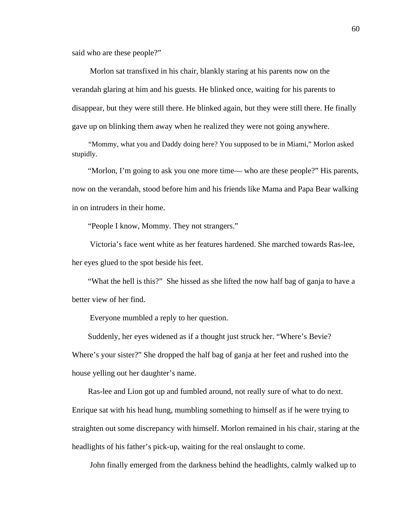said who are these people?"

 Morlon sat transfixed in his chair, blankly staring at his parents now on the verandah glaring at him and his guests. He blinked once, waiting for his parents to disappear, but they were still there. He blinked again, but they were still there. He finally gave up on blinking them away when he realized they were not going anywhere.

 "Mommy, what you and Daddy doing here? You supposed to be in Miami," Morlon asked stupidly.

 "Morlon, I'm going to ask you one more time— who are these people?" His parents, now on the verandah, stood before him and his friends like Mama and Papa Bear walking in on intruders in their home.

"People I know, Mommy. They not strangers."

 Victoria's face went white as her features hardened. She marched towards Ras-lee, her eyes glued to the spot beside his feet.

 "What the hell is this?" She hissed as she lifted the now half bag of ganja to have a better view of her find.

Everyone mumbled a reply to her question.

 Suddenly, her eyes widened as if a thought just struck her. "Where's Bevie? Where's your sister?" She dropped the half bag of ganja at her feet and rushed into the house yelling out her daughter's name.

 Ras-lee and Lion got up and fumbled around, not really sure of what to do next. Enrique sat with his head hung, mumbling something to himself as if he were trying to straighten out some discrepancy with himself. Morlon remained in his chair, staring at the headlights of his father's pick-up, waiting for the real onslaught to come.

John finally emerged from the darkness behind the headlights, calmly walked up to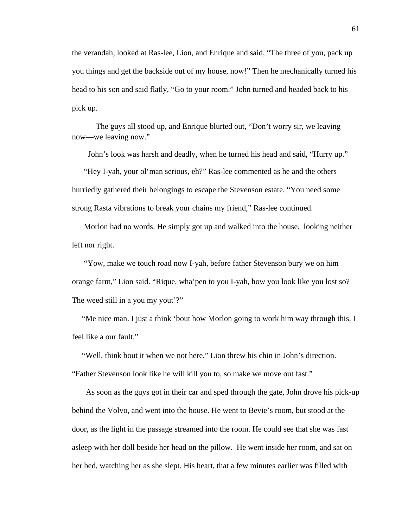the verandah, looked at Ras-lee, Lion, and Enrique and said, "The three of you, pack up you things and get the backside out of my house, now!" Then he mechanically turned his head to his son and said flatly, "Go to your room." John turned and headed back to his pick up.

The guys all stood up, and Enrique blurted out, "Don't worry sir, we leaving now—we leaving now."

John's look was harsh and deadly, when he turned his head and said, "Hurry up."

 "Hey I-yah, your ol'man serious, eh?" Ras-lee commented as he and the others hurriedly gathered their belongings to escape the Stevenson estate. "You need some strong Rasta vibrations to break your chains my friend," Ras-lee continued.

 Morlon had no words. He simply got up and walked into the house, looking neither left nor right.

 "Yow, make we touch road now I-yah, before father Stevenson bury we on him orange farm," Lion said. "Rique, wha'pen to you I-yah, how you look like you lost so? The weed still in a you my yout'?"

 "Me nice man. I just a think 'bout how Morlon going to work him way through this. I feel like a our fault."

 "Well, think bout it when we not here." Lion threw his chin in John's direction. "Father Stevenson look like he will kill you to, so make we move out fast."

 As soon as the guys got in their car and sped through the gate, John drove his pick-up behind the Volvo, and went into the house. He went to Bevie's room, but stood at the door, as the light in the passage streamed into the room. He could see that she was fast asleep with her doll beside her head on the pillow. He went inside her room, and sat on her bed, watching her as she slept. His heart, that a few minutes earlier was filled with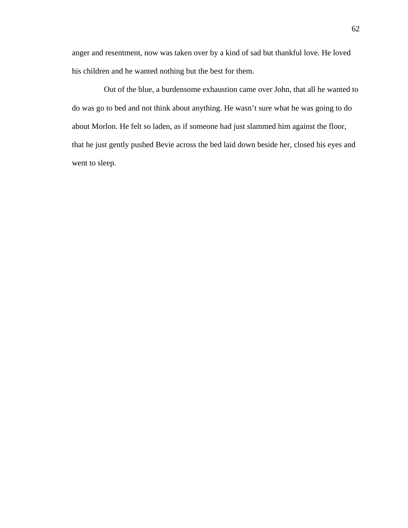anger and resentment, now was taken over by a kind of sad but thankful love. He loved his children and he wanted nothing but the best for them.

 Out of the blue, a burdensome exhaustion came over John, that all he wanted to do was go to bed and not think about anything. He wasn't sure what he was going to do about Morlon. He felt so laden, as if someone had just slammed him against the floor, that he just gently pushed Bevie across the bed laid down beside her, closed his eyes and went to sleep.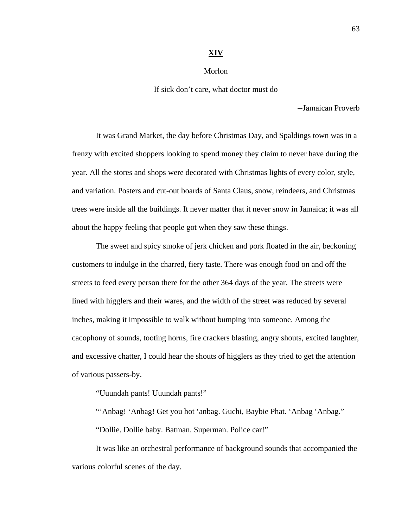#### **XIV**

#### Morlon

### If sick don't care, what doctor must do

--Jamaican Proverb

It was Grand Market, the day before Christmas Day, and Spaldings town was in a frenzy with excited shoppers looking to spend money they claim to never have during the year. All the stores and shops were decorated with Christmas lights of every color, style, and variation. Posters and cut-out boards of Santa Claus, snow, reindeers, and Christmas trees were inside all the buildings. It never matter that it never snow in Jamaica; it was all about the happy feeling that people got when they saw these things.

The sweet and spicy smoke of jerk chicken and pork floated in the air, beckoning customers to indulge in the charred, fiery taste. There was enough food on and off the streets to feed every person there for the other 364 days of the year. The streets were lined with higglers and their wares, and the width of the street was reduced by several inches, making it impossible to walk without bumping into someone. Among the cacophony of sounds, tooting horns, fire crackers blasting, angry shouts, excited laughter, and excessive chatter, I could hear the shouts of higglers as they tried to get the attention of various passers-by.

"Uuundah pants! Uuundah pants!"

"'Anbag! 'Anbag! Get you hot 'anbag. Guchi, Baybie Phat. 'Anbag 'Anbag."

"Dollie. Dollie baby. Batman. Superman. Police car!"

It was like an orchestral performance of background sounds that accompanied the various colorful scenes of the day.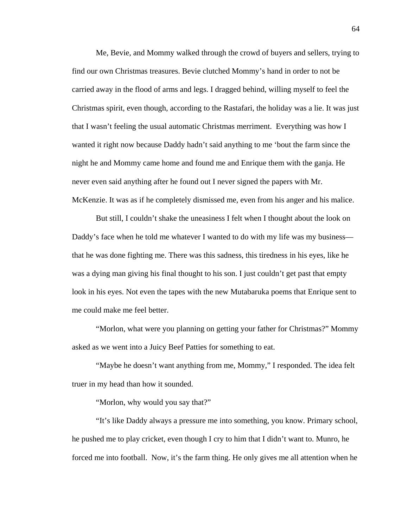Me, Bevie, and Mommy walked through the crowd of buyers and sellers, trying to find our own Christmas treasures. Bevie clutched Mommy's hand in order to not be carried away in the flood of arms and legs. I dragged behind, willing myself to feel the Christmas spirit, even though, according to the Rastafari, the holiday was a lie. It was just that I wasn't feeling the usual automatic Christmas merriment. Everything was how I wanted it right now because Daddy hadn't said anything to me 'bout the farm since the night he and Mommy came home and found me and Enrique them with the ganja. He never even said anything after he found out I never signed the papers with Mr. McKenzie. It was as if he completely dismissed me, even from his anger and his malice.

But still, I couldn't shake the uneasiness I felt when I thought about the look on Daddy's face when he told me whatever I wanted to do with my life was my business that he was done fighting me. There was this sadness, this tiredness in his eyes, like he was a dying man giving his final thought to his son. I just couldn't get past that empty look in his eyes. Not even the tapes with the new Mutabaruka poems that Enrique sent to me could make me feel better.

"Morlon, what were you planning on getting your father for Christmas?" Mommy asked as we went into a Juicy Beef Patties for something to eat.

"Maybe he doesn't want anything from me, Mommy," I responded. The idea felt truer in my head than how it sounded.

"Morlon, why would you say that?"

"It's like Daddy always a pressure me into something, you know. Primary school, he pushed me to play cricket, even though I cry to him that I didn't want to. Munro, he forced me into football. Now, it's the farm thing. He only gives me all attention when he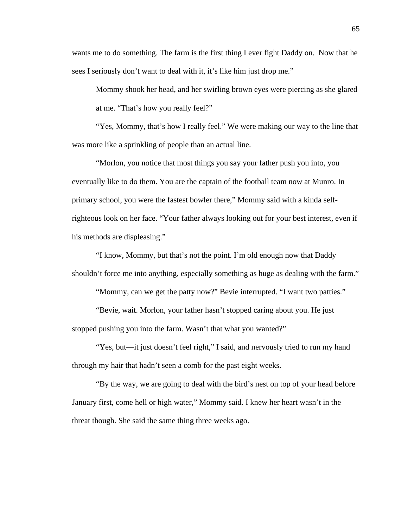wants me to do something. The farm is the first thing I ever fight Daddy on. Now that he sees I seriously don't want to deal with it, it's like him just drop me."

Mommy shook her head, and her swirling brown eyes were piercing as she glared at me. "That's how you really feel?"

"Yes, Mommy, that's how I really feel." We were making our way to the line that was more like a sprinkling of people than an actual line.

"Morlon, you notice that most things you say your father push you into, you eventually like to do them. You are the captain of the football team now at Munro. In primary school, you were the fastest bowler there," Mommy said with a kinda selfrighteous look on her face. "Your father always looking out for your best interest, even if his methods are displeasing."

"I know, Mommy, but that's not the point. I'm old enough now that Daddy shouldn't force me into anything, especially something as huge as dealing with the farm."

"Mommy, can we get the patty now?" Bevie interrupted. "I want two patties."

"Bevie, wait. Morlon, your father hasn't stopped caring about you. He just stopped pushing you into the farm. Wasn't that what you wanted?"

"Yes, but—it just doesn't feel right," I said, and nervously tried to run my hand through my hair that hadn't seen a comb for the past eight weeks.

"By the way, we are going to deal with the bird's nest on top of your head before January first, come hell or high water," Mommy said. I knew her heart wasn't in the threat though. She said the same thing three weeks ago.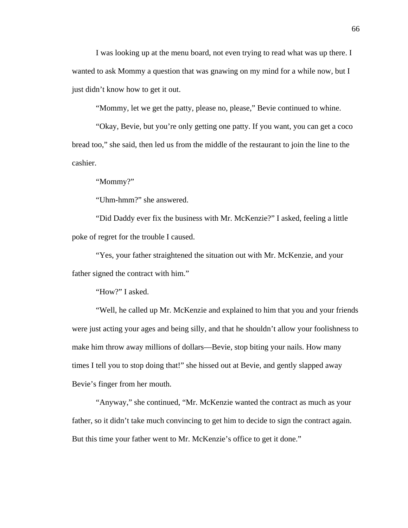I was looking up at the menu board, not even trying to read what was up there. I wanted to ask Mommy a question that was gnawing on my mind for a while now, but I just didn't know how to get it out.

"Mommy, let we get the patty, please no, please," Bevie continued to whine.

"Okay, Bevie, but you're only getting one patty. If you want, you can get a coco bread too," she said, then led us from the middle of the restaurant to join the line to the cashier.

"Mommy?"

"Uhm-hmm?" she answered.

"Did Daddy ever fix the business with Mr. McKenzie?" I asked, feeling a little poke of regret for the trouble I caused.

"Yes, your father straightened the situation out with Mr. McKenzie, and your father signed the contract with him."

"How?" I asked.

"Well, he called up Mr. McKenzie and explained to him that you and your friends were just acting your ages and being silly, and that he shouldn't allow your foolishness to make him throw away millions of dollars—Bevie, stop biting your nails. How many times I tell you to stop doing that!" she hissed out at Bevie, and gently slapped away Bevie's finger from her mouth.

"Anyway," she continued, "Mr. McKenzie wanted the contract as much as your father, so it didn't take much convincing to get him to decide to sign the contract again. But this time your father went to Mr. McKenzie's office to get it done."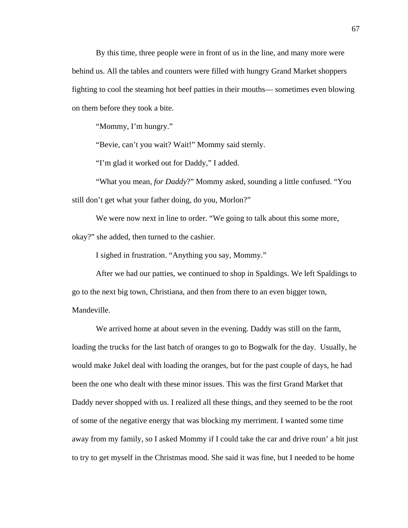By this time, three people were in front of us in the line, and many more were behind us. All the tables and counters were filled with hungry Grand Market shoppers fighting to cool the steaming hot beef patties in their mouths— sometimes even blowing on them before they took a bite.

"Mommy, I'm hungry."

"Bevie, can't you wait? Wait!" Mommy said sternly.

"I'm glad it worked out for Daddy," I added.

 "What you mean, *for Daddy*?" Mommy asked, sounding a little confused. "You still don't get what your father doing, do you, Morlon?"

We were now next in line to order. "We going to talk about this some more, okay?" she added, then turned to the cashier.

I sighed in frustration. "Anything you say, Mommy."

 After we had our patties, we continued to shop in Spaldings. We left Spaldings to go to the next big town, Christiana, and then from there to an even bigger town, Mandeville.

We arrived home at about seven in the evening. Daddy was still on the farm, loading the trucks for the last batch of oranges to go to Bogwalk for the day. Usually, he would make Jukel deal with loading the oranges, but for the past couple of days, he had been the one who dealt with these minor issues. This was the first Grand Market that Daddy never shopped with us. I realized all these things, and they seemed to be the root of some of the negative energy that was blocking my merriment. I wanted some time away from my family, so I asked Mommy if I could take the car and drive roun' a bit just to try to get myself in the Christmas mood. She said it was fine, but I needed to be home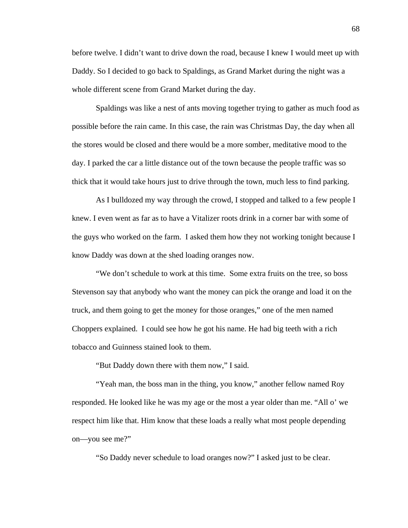before twelve. I didn't want to drive down the road, because I knew I would meet up with Daddy. So I decided to go back to Spaldings, as Grand Market during the night was a whole different scene from Grand Market during the day.

Spaldings was like a nest of ants moving together trying to gather as much food as possible before the rain came. In this case, the rain was Christmas Day, the day when all the stores would be closed and there would be a more somber, meditative mood to the day. I parked the car a little distance out of the town because the people traffic was so thick that it would take hours just to drive through the town, much less to find parking.

As I bulldozed my way through the crowd, I stopped and talked to a few people I knew. I even went as far as to have a Vitalizer roots drink in a corner bar with some of the guys who worked on the farm. I asked them how they not working tonight because I know Daddy was down at the shed loading oranges now.

"We don't schedule to work at this time. Some extra fruits on the tree, so boss Stevenson say that anybody who want the money can pick the orange and load it on the truck, and them going to get the money for those oranges," one of the men named Choppers explained. I could see how he got his name. He had big teeth with a rich tobacco and Guinness stained look to them.

"But Daddy down there with them now," I said.

"Yeah man, the boss man in the thing, you know," another fellow named Roy responded. He looked like he was my age or the most a year older than me. "All o' we respect him like that. Him know that these loads a really what most people depending on—you see me?"

"So Daddy never schedule to load oranges now?" I asked just to be clear.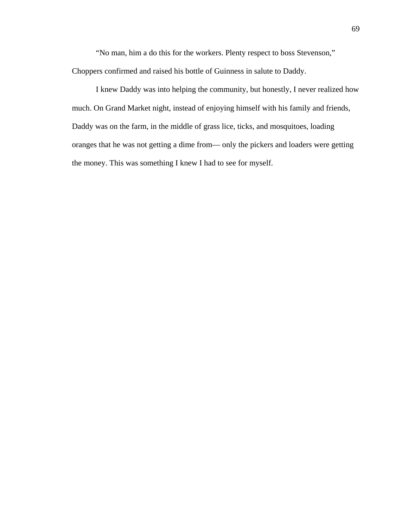"No man, him a do this for the workers. Plenty respect to boss Stevenson," Choppers confirmed and raised his bottle of Guinness in salute to Daddy.

I knew Daddy was into helping the community, but honestly, I never realized how much. On Grand Market night, instead of enjoying himself with his family and friends, Daddy was on the farm, in the middle of grass lice, ticks, and mosquitoes, loading oranges that he was not getting a dime from— only the pickers and loaders were getting the money. This was something I knew I had to see for myself.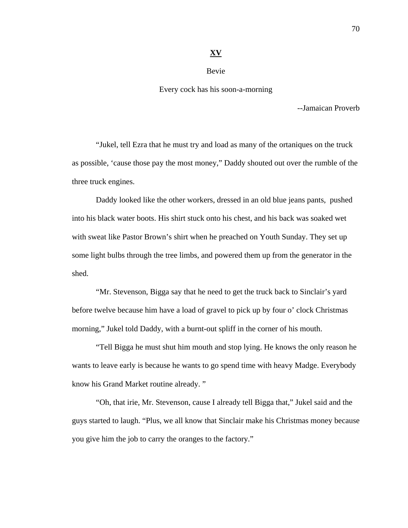## **XV**

## Bevie

## Every cock has his soon-a-morning

--Jamaican Proverb

"Jukel, tell Ezra that he must try and load as many of the ortaniques on the truck as possible, 'cause those pay the most money," Daddy shouted out over the rumble of the three truck engines.

Daddy looked like the other workers, dressed in an old blue jeans pants, pushed into his black water boots. His shirt stuck onto his chest, and his back was soaked wet with sweat like Pastor Brown's shirt when he preached on Youth Sunday. They set up some light bulbs through the tree limbs, and powered them up from the generator in the shed.

"Mr. Stevenson, Bigga say that he need to get the truck back to Sinclair's yard before twelve because him have a load of gravel to pick up by four o' clock Christmas morning," Jukel told Daddy, with a burnt-out spliff in the corner of his mouth.

"Tell Bigga he must shut him mouth and stop lying. He knows the only reason he wants to leave early is because he wants to go spend time with heavy Madge. Everybody know his Grand Market routine already. "

"Oh, that irie, Mr. Stevenson, cause I already tell Bigga that," Jukel said and the guys started to laugh. "Plus, we all know that Sinclair make his Christmas money because you give him the job to carry the oranges to the factory."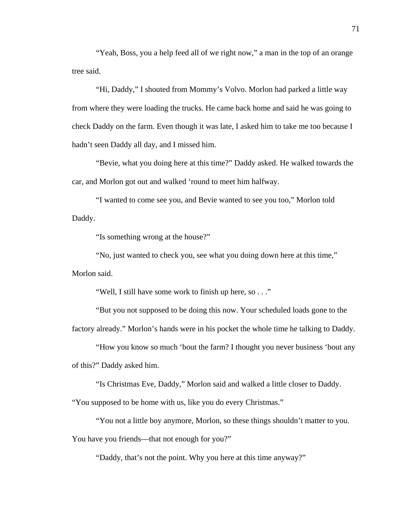"Yeah, Boss, you a help feed all of we right now," a man in the top of an orange tree said.

"Hi, Daddy," I shouted from Mommy's Volvo. Morlon had parked a little way from where they were loading the trucks. He came back home and said he was going to check Daddy on the farm. Even though it was late, I asked him to take me too because I hadn't seen Daddy all day, and I missed him.

"Bevie, what you doing here at this time?" Daddy asked. He walked towards the car, and Morlon got out and walked 'round to meet him halfway.

"I wanted to come see you, and Bevie wanted to see you too," Morlon told Daddy.

"Is something wrong at the house?"

"No, just wanted to check you, see what you doing down here at this time," Morlon said.

"Well, I still have some work to finish up here, so . . ."

"But you not supposed to be doing this now. Your scheduled loads gone to the factory already." Morlon's hands were in his pocket the whole time he talking to Daddy.

"How you know so much 'bout the farm? I thought you never business 'bout any of this?" Daddy asked him.

"Is Christmas Eve, Daddy," Morlon said and walked a little closer to Daddy.

"You supposed to be home with us, like you do every Christmas."

"You not a little boy anymore, Morlon, so these things shouldn't matter to you.

You have you friends—that not enough for you?"

"Daddy, that's not the point. Why you here at this time anyway?"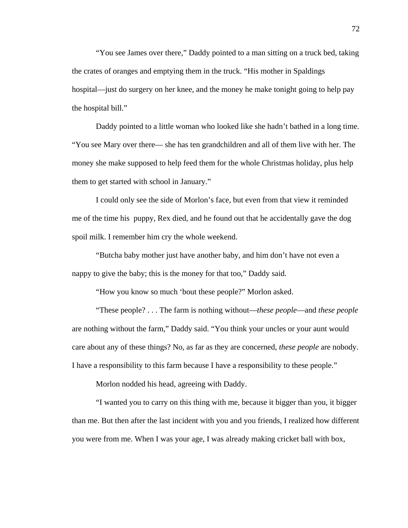"You see James over there," Daddy pointed to a man sitting on a truck bed, taking the crates of oranges and emptying them in the truck. "His mother in Spaldings hospital—just do surgery on her knee, and the money he make tonight going to help pay the hospital bill."

Daddy pointed to a little woman who looked like she hadn't bathed in a long time. "You see Mary over there— she has ten grandchildren and all of them live with her. The money she make supposed to help feed them for the whole Christmas holiday, plus help them to get started with school in January."

I could only see the side of Morlon's face, but even from that view it reminded me of the time his puppy, Rex died, and he found out that he accidentally gave the dog spoil milk. I remember him cry the whole weekend.

"Butcha baby mother just have another baby, and him don't have not even a nappy to give the baby; this is the money for that too," Daddy said.

"How you know so much 'bout these people?" Morlon asked.

"These people? . . . The farm is nothing without—*these people*—and *these people* are nothing without the farm," Daddy said. "You think your uncles or your aunt would care about any of these things? No, as far as they are concerned, *these people* are nobody. I have a responsibility to this farm because I have a responsibility to these people."

Morlon nodded his head, agreeing with Daddy.

"I wanted you to carry on this thing with me, because it bigger than you, it bigger than me. But then after the last incident with you and you friends, I realized how different you were from me. When I was your age, I was already making cricket ball with box,